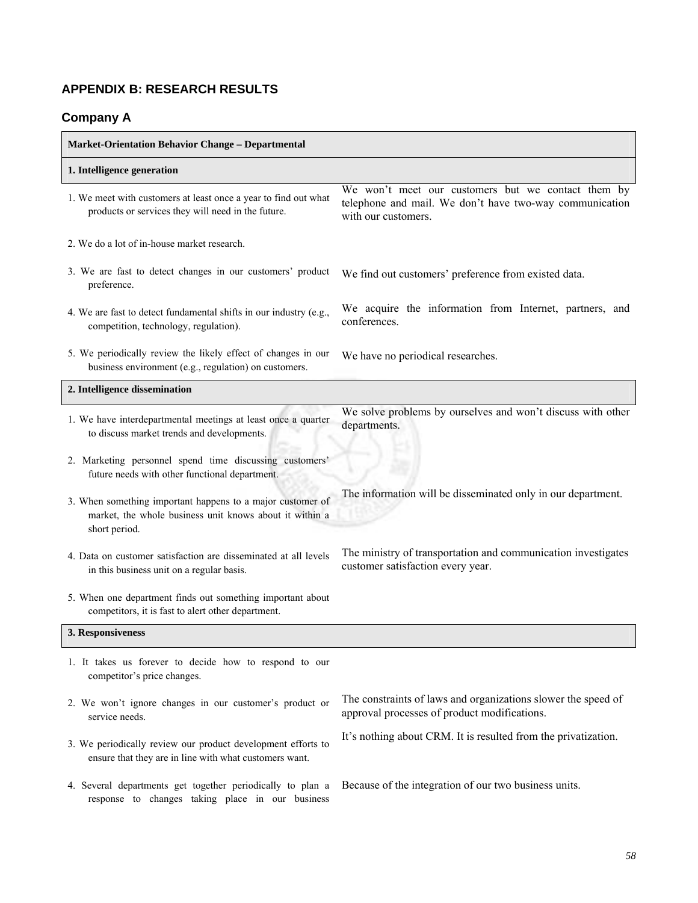# **APPENDIX B: RESEARCH RESULTS**

# **Company A**

| <b>Market-Orientation Behavior Change - Departmental</b>                                                                               |                                                                                                                                      |  |  |  |
|----------------------------------------------------------------------------------------------------------------------------------------|--------------------------------------------------------------------------------------------------------------------------------------|--|--|--|
| 1. Intelligence generation                                                                                                             |                                                                                                                                      |  |  |  |
| 1. We meet with customers at least once a year to find out what<br>products or services they will need in the future.                  | We won't meet our customers but we contact them by<br>telephone and mail. We don't have two-way communication<br>with our customers. |  |  |  |
| 2. We do a lot of in-house market research.                                                                                            |                                                                                                                                      |  |  |  |
| 3. We are fast to detect changes in our customers' product<br>preference.                                                              | We find out customers' preference from existed data.                                                                                 |  |  |  |
| 4. We are fast to detect fundamental shifts in our industry (e.g.,<br>competition, technology, regulation).                            | We acquire the information from Internet, partners, and<br>conferences.                                                              |  |  |  |
| 5. We periodically review the likely effect of changes in our<br>business environment (e.g., regulation) on customers.                 | We have no periodical researches.                                                                                                    |  |  |  |
| 2. Intelligence dissemination                                                                                                          |                                                                                                                                      |  |  |  |
| 1. We have interdepartmental meetings at least once a quarter<br>to discuss market trends and developments.                            | We solve problems by ourselves and won't discuss with other<br>departments.                                                          |  |  |  |
| 2. Marketing personnel spend time discussing customers'<br>future needs with other functional department.                              |                                                                                                                                      |  |  |  |
| 3. When something important happens to a major customer of<br>market, the whole business unit knows about it within a<br>short period. | The information will be disseminated only in our department.                                                                         |  |  |  |
| 4. Data on customer satisfaction are disseminated at all levels<br>in this business unit on a regular basis.                           | The ministry of transportation and communication investigates<br>customer satisfaction every year.                                   |  |  |  |
| 5. When one department finds out something important about<br>competitors, it is fast to alert other department.                       |                                                                                                                                      |  |  |  |
| 3. Responsiveness                                                                                                                      |                                                                                                                                      |  |  |  |
| 1. It takes us forever to decide how to respond to our<br>competitor's price changes.                                                  |                                                                                                                                      |  |  |  |
| 2. We won't ignore changes in our customer's product or<br>service needs.                                                              | The constraints of laws and organizations slower the speed of<br>approval processes of product modifications.                        |  |  |  |
| 3. We periodically review our product development efforts to<br>ensure that they are in line with what customers want.                 | It's nothing about CRM. It is resulted from the privatization.                                                                       |  |  |  |
| 4. Several departments get together periodically to plan a<br>response to changes taking place in our business                         | Because of the integration of our two business units.                                                                                |  |  |  |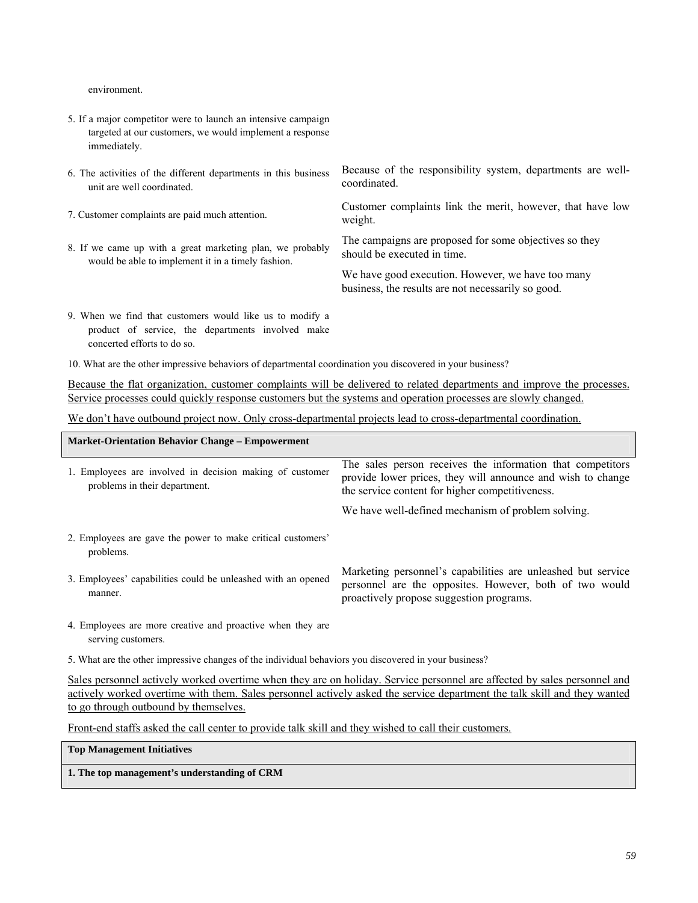environment.

- 5. If a major competitor were to launch an intensive campaign targeted at our customers, we would implement a response immediately.
- 6. The activities of the different departments in this business unit are well coordinated.
- 
- 8. If we came up with a great marketing plan, we probably would be able to implement it in a timely fashion.

Because of the responsibility system, departments are wellcoordinated.

7. Customer complaints are paid much attention. Customer complaints link the merit, however, that have low weight.

> The campaigns are proposed for some objectives so they should be executed in time.

We have good execution. However, we have too many business, the results are not necessarily so good.

- 9. When we find that customers would like us to modify a product of service, the departments involved make concerted efforts to do so.
- 10. What are the other impressive behaviors of departmental coordination you discovered in your business?

Because the flat organization, customer complaints will be delivered to related departments and improve the processes. Service processes could quickly response customers but the systems and operation processes are slowly changed.

We don't have outbound project now. Only cross-departmental projects lead to cross-departmental coordination.

| <b>Market-Orientation Behavior Change – Empowerment</b>                                   |                                                                                                                                                                              |  |  |  |  |
|-------------------------------------------------------------------------------------------|------------------------------------------------------------------------------------------------------------------------------------------------------------------------------|--|--|--|--|
| 1. Employees are involved in decision making of customer<br>problems in their department. | The sales person receives the information that competitors<br>provide lower prices, they will announce and wish to change<br>the service content for higher competitiveness. |  |  |  |  |
|                                                                                           | We have well-defined mechanism of problem solving.                                                                                                                           |  |  |  |  |
| 2. Employees are gave the power to make critical customers'<br>problems.                  |                                                                                                                                                                              |  |  |  |  |
| 3. Employees' capabilities could be unleashed with an opened<br>manner.                   | Marketing personnel's capabilities are unleashed but service<br>personnel are the opposites. However, both of two would<br>proactively propose suggestion programs.          |  |  |  |  |
| 4. Employees are more creative and proactive when they are<br>serving customers.          |                                                                                                                                                                              |  |  |  |  |

5. What are the other impressive changes of the individual behaviors you discovered in your business?

Sales personnel actively worked overtime when they are on holiday. Service personnel are affected by sales personnel and actively worked overtime with them. Sales personnel actively asked the service department the talk skill and they wanted to go through outbound by themselves.

Front-end staffs asked the call center to provide talk skill and they wished to call their customers.

**Top Management Initiatives**

**1. The top management's understanding of CRM**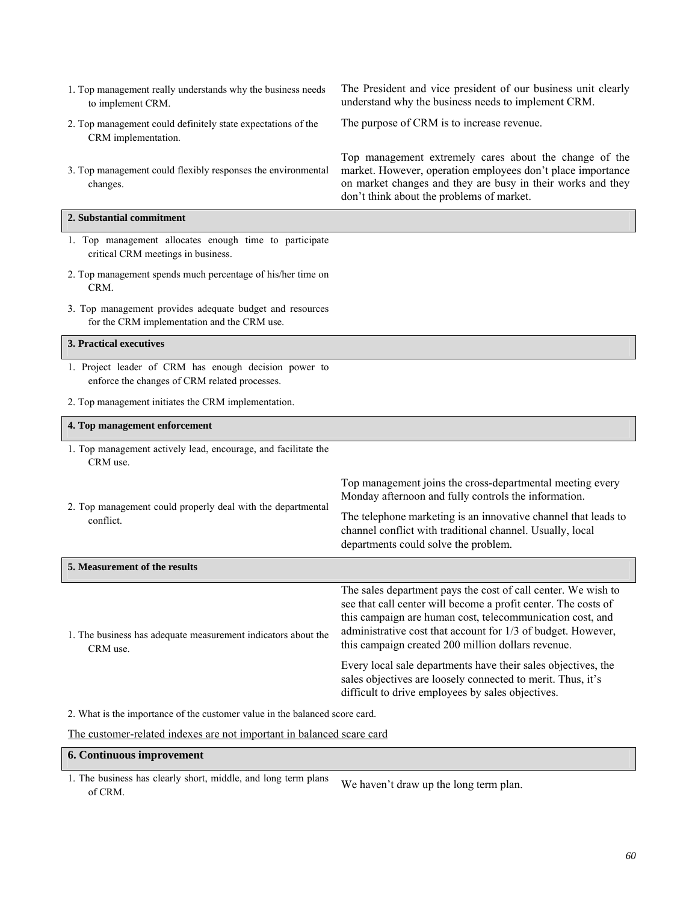| 1. Top management really understands why the business needs<br>to implement CRM.                        | The President and vice president of our business unit clearly<br>understand why the business needs to implement CRM.                                                                                                                                                                                               |
|---------------------------------------------------------------------------------------------------------|--------------------------------------------------------------------------------------------------------------------------------------------------------------------------------------------------------------------------------------------------------------------------------------------------------------------|
| 2. Top management could definitely state expectations of the<br>CRM implementation.                     | The purpose of CRM is to increase revenue.                                                                                                                                                                                                                                                                         |
| 3. Top management could flexibly responses the environmental<br>changes.                                | Top management extremely cares about the change of the<br>market. However, operation employees don't place importance<br>on market changes and they are busy in their works and they<br>don't think about the problems of market.                                                                                  |
| 2. Substantial commitment                                                                               |                                                                                                                                                                                                                                                                                                                    |
| 1. Top management allocates enough time to participate<br>critical CRM meetings in business.            |                                                                                                                                                                                                                                                                                                                    |
| 2. Top management spends much percentage of his/her time on<br>CRM.                                     |                                                                                                                                                                                                                                                                                                                    |
| 3. Top management provides adequate budget and resources<br>for the CRM implementation and the CRM use. |                                                                                                                                                                                                                                                                                                                    |
| 3. Practical executives                                                                                 |                                                                                                                                                                                                                                                                                                                    |
| 1. Project leader of CRM has enough decision power to<br>enforce the changes of CRM related processes.  |                                                                                                                                                                                                                                                                                                                    |
| 2. Top management initiates the CRM implementation.                                                     |                                                                                                                                                                                                                                                                                                                    |
| 4. Top management enforcement                                                                           |                                                                                                                                                                                                                                                                                                                    |
|                                                                                                         |                                                                                                                                                                                                                                                                                                                    |
| 1. Top management actively lead, encourage, and facilitate the<br>CRM use.                              |                                                                                                                                                                                                                                                                                                                    |
|                                                                                                         | Top management joins the cross-departmental meeting every<br>Monday afternoon and fully controls the information.                                                                                                                                                                                                  |
| 2. Top management could properly deal with the departmental<br>conflict.                                | The telephone marketing is an innovative channel that leads to<br>channel conflict with traditional channel. Usually, local<br>departments could solve the problem.                                                                                                                                                |
| 5. Measurement of the results                                                                           |                                                                                                                                                                                                                                                                                                                    |
| 1. The business has adequate measurement indicators about the<br>CRM use.                               | The sales department pays the cost of call center. We wish to<br>see that call center will become a profit center. The costs of<br>this campaign are human cost, telecommunication cost, and<br>administrative cost that account for 1/3 of budget. However,<br>this campaign created 200 million dollars revenue. |
|                                                                                                         | Every local sale departments have their sales objectives, the<br>sales objectives are loosely connected to merit. Thus, it's<br>difficult to drive employees by sales objectives.                                                                                                                                  |
| 2. What is the importance of the customer value in the balanced score card.                             |                                                                                                                                                                                                                                                                                                                    |

# **6. Continuous improvement**

1. The business has clearly short, middle, and long term plans he business has clearly short, middle, and long term plans<br>of CRM.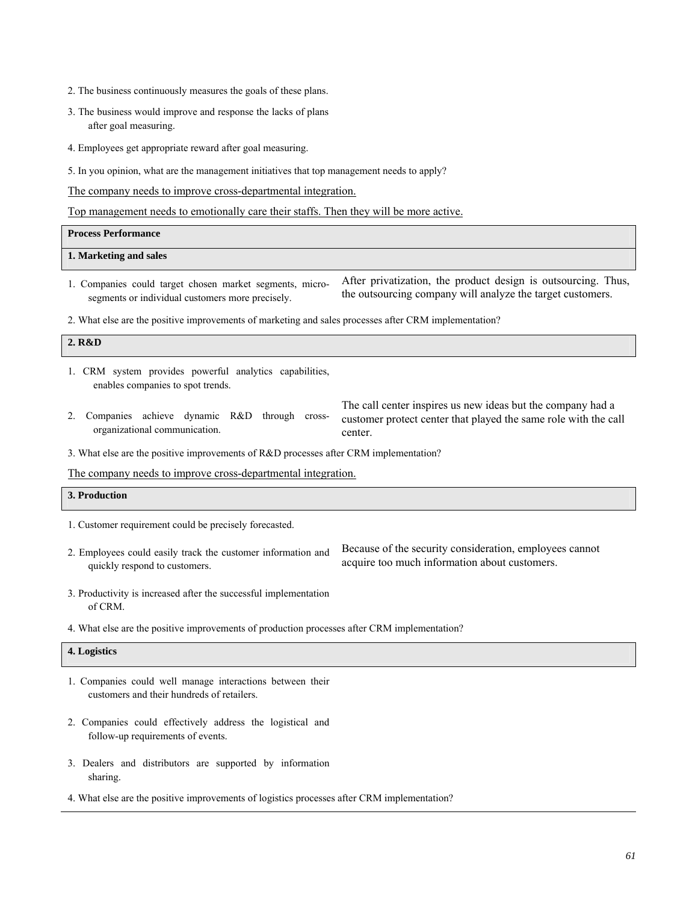- 2. The business continuously measures the goals of these plans.
- 3. The business would improve and response the lacks of plans after goal measuring.
- 4. Employees get appropriate reward after goal measuring.
- 5. In you opinion, what are the management initiatives that top management needs to apply?

The company needs to improve cross-departmental integration.

Top management needs to emotionally care their staffs. Then they will be more active.

| <b>Process Performance</b> |  |
|----------------------------|--|
| 1. Marketing and sales     |  |

1. Companies could target chosen market segments, microsegments or individual customers more precisely.

After privatization, the product design is outsourcing. Thus, the outsourcing company will analyze the target customers.

2. What else are the positive improvements of marketing and sales processes after CRM implementation?

## **2. R&D**

- 1. CRM system provides powerful analytics capabilities, enables companies to spot trends.
- 2. Companies achieve dynamic R&D through crossorganizational communication.

The call center inspires us new ideas but the company had a customer protect center that played the same role with the call center.

3. What else are the positive improvements of R&D processes after CRM implementation?

The company needs to improve cross-departmental integration.

### **3. Production**

1. Customer requirement could be precisely forecasted.

2. Employees could easily track the customer information and quickly respond to customers.

Because of the security consideration, employees cannot acquire too much information about customers.

- 3. Productivity is increased after the successful implementation of CRM.
- 4. What else are the positive improvements of production processes after CRM implementation?

#### **4. Logistics**

- 1. Companies could well manage interactions between their customers and their hundreds of retailers.
- 2. Companies could effectively address the logistical and follow-up requirements of events.
- 3. Dealers and distributors are supported by information sharing.
- 4. What else are the positive improvements of logistics processes after CRM implementation?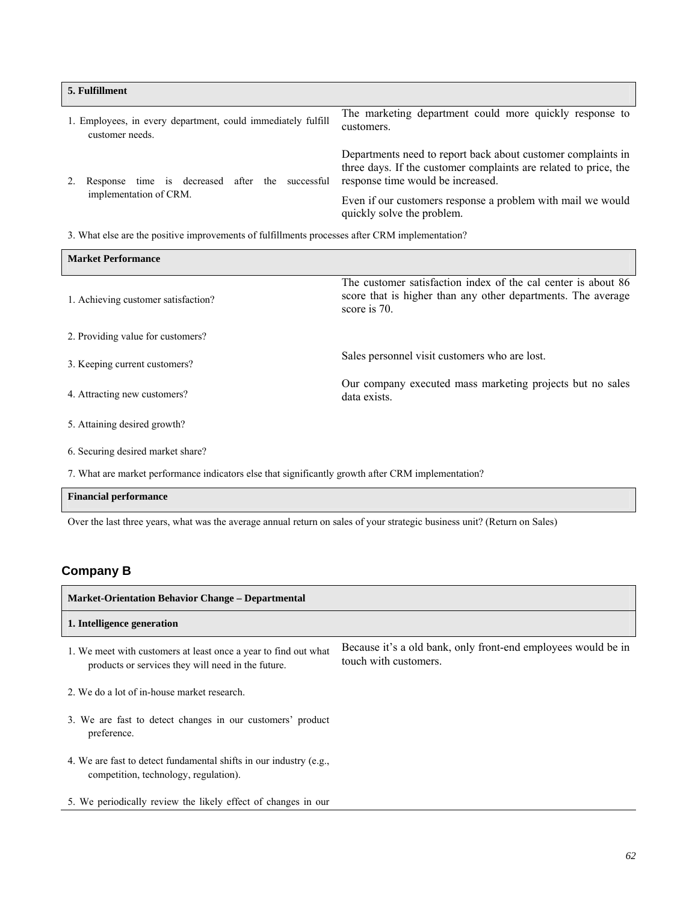| 5. Fulfillment                                                                  |                                                                                                                                                                       |
|---------------------------------------------------------------------------------|-----------------------------------------------------------------------------------------------------------------------------------------------------------------------|
| 1. Employees, in every department, could immediately fulfill<br>customer needs. | The marketing department could more quickly response to<br>customers.                                                                                                 |
| the<br>successful<br>time is decreased<br>after<br>Response                     | Departments need to report back about customer complaints in<br>three days. If the customer complaints are related to price, the<br>response time would be increased. |
| implementation of CRM.                                                          | Even if our customers response a problem with mail we would<br>quickly solve the problem.                                                                             |

3. What else are the positive improvements of fulfillments processes after CRM implementation?

| <b>Market Performance</b>           |                                                                                                                                               |  |  |  |  |
|-------------------------------------|-----------------------------------------------------------------------------------------------------------------------------------------------|--|--|--|--|
| 1. Achieving customer satisfaction? | The customer satisfaction index of the cal center is about 86<br>score that is higher than any other departments. The average<br>score is 70. |  |  |  |  |
| 2. Providing value for customers?   |                                                                                                                                               |  |  |  |  |
| 3. Keeping current customers?       | Sales personnel visit customers who are lost.                                                                                                 |  |  |  |  |
| 4. Attracting new customers?        | Our company executed mass marketing projects but no sales<br>data exists.                                                                     |  |  |  |  |
| 5. Attaining desired growth?        |                                                                                                                                               |  |  |  |  |
| 6. Securing desired market share?   |                                                                                                                                               |  |  |  |  |

7. What are market performance indicators else that significantly growth after CRM implementation?

## **Financial performance**

Over the last three years, what was the average annual return on sales of your strategic business unit? (Return on Sales)

## **Company B**

| <b>Market-Orientation Behavior Change – Departmental</b>                                                              |                                                                                        |  |  |  |  |
|-----------------------------------------------------------------------------------------------------------------------|----------------------------------------------------------------------------------------|--|--|--|--|
| 1. Intelligence generation                                                                                            |                                                                                        |  |  |  |  |
| 1. We meet with customers at least once a year to find out what<br>products or services they will need in the future. | Because it's a old bank, only front-end employees would be in<br>touch with customers. |  |  |  |  |
| 2. We do a lot of in-house market research.                                                                           |                                                                                        |  |  |  |  |
| 3. We are fast to detect changes in our customers' product<br>preference.                                             |                                                                                        |  |  |  |  |
| 4. We are fast to detect fundamental shifts in our industry (e.g.,<br>competition, technology, regulation).           |                                                                                        |  |  |  |  |
| 5. We periodically review the likely effect of changes in our                                                         |                                                                                        |  |  |  |  |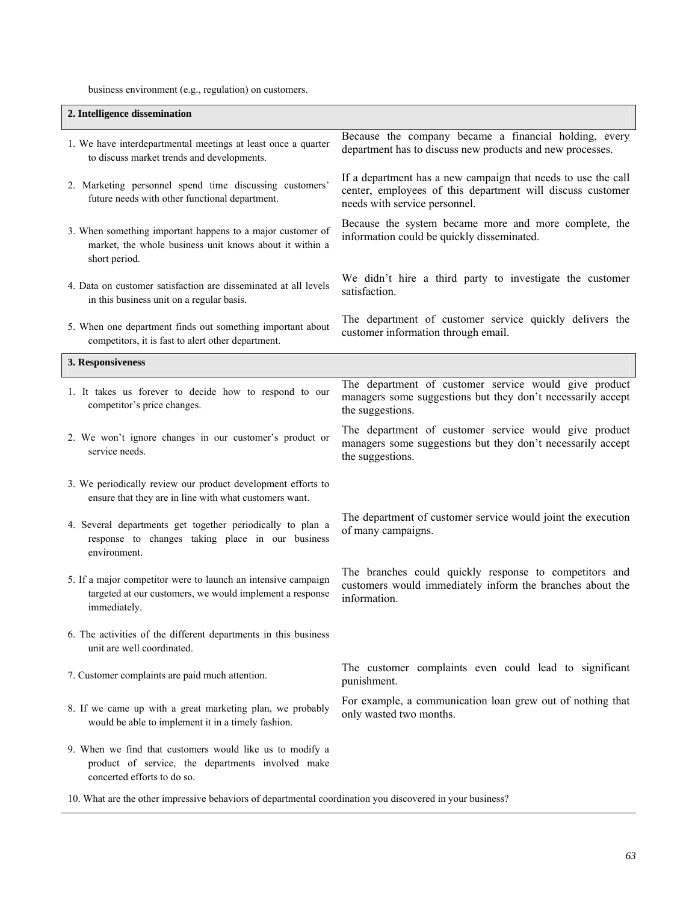business environment (e.g., regulation) on customers.

| 2. Intelligence dissemination                                                                                                                |                                                                                                                                                              |
|----------------------------------------------------------------------------------------------------------------------------------------------|--------------------------------------------------------------------------------------------------------------------------------------------------------------|
| 1. We have interdepartmental meetings at least once a quarter<br>to discuss market trends and developments.                                  | Because the company became a financial holding, every<br>department has to discuss new products and new processes.                                           |
| 2. Marketing personnel spend time discussing customers'<br>future needs with other functional department.                                    | If a department has a new campaign that needs to use the call<br>center, employees of this department will discuss customer<br>needs with service personnel. |
| 3. When something important happens to a major customer of<br>market, the whole business unit knows about it within a<br>short period.       | Because the system became more and more complete, the<br>information could be quickly disseminated.                                                          |
| 4. Data on customer satisfaction are disseminated at all levels<br>in this business unit on a regular basis.                                 | We didn't hire a third party to investigate the customer<br>satisfaction.                                                                                    |
| 5. When one department finds out something important about<br>competitors, it is fast to alert other department.                             | The department of customer service quickly delivers the<br>customer information through email.                                                               |
| 3. Responsiveness                                                                                                                            |                                                                                                                                                              |
| 1. It takes us forever to decide how to respond to our<br>competitor's price changes.                                                        | The department of customer service would give product<br>managers some suggestions but they don't necessarily accept<br>the suggestions.                     |
| 2. We won't ignore changes in our customer's product or<br>service needs.                                                                    | The department of customer service would give product<br>managers some suggestions but they don't necessarily accept<br>the suggestions.                     |
| 3. We periodically review our product development efforts to<br>ensure that they are in line with what customers want.                       |                                                                                                                                                              |
| 4. Several departments get together periodically to plan a<br>response to changes taking place in our business<br>environment.               | The department of customer service would joint the execution<br>of many campaigns.                                                                           |
| 5. If a major competitor were to launch an intensive campaign<br>targeted at our customers, we would implement a response<br>immediately.    | The branches could quickly response to competitors and<br>customers would immediately inform the branches about the<br>information.                          |
| 6. The activities of the different departments in this business<br>unit are well coordinated.                                                |                                                                                                                                                              |
| 7. Customer complaints are paid much attention.                                                                                              | The customer complaints even could lead to significant<br>punishment.                                                                                        |
| 8. If we came up with a great marketing plan, we probably<br>would be able to implement it in a timely fashion.                              | For example, a communication loan grew out of nothing that<br>only wasted two months.                                                                        |
| 9. When we find that customers would like us to modify a<br>product of service, the departments involved make<br>concerted efforts to do so. |                                                                                                                                                              |

10. What are the other impressive behaviors of departmental coordination you discovered in your business?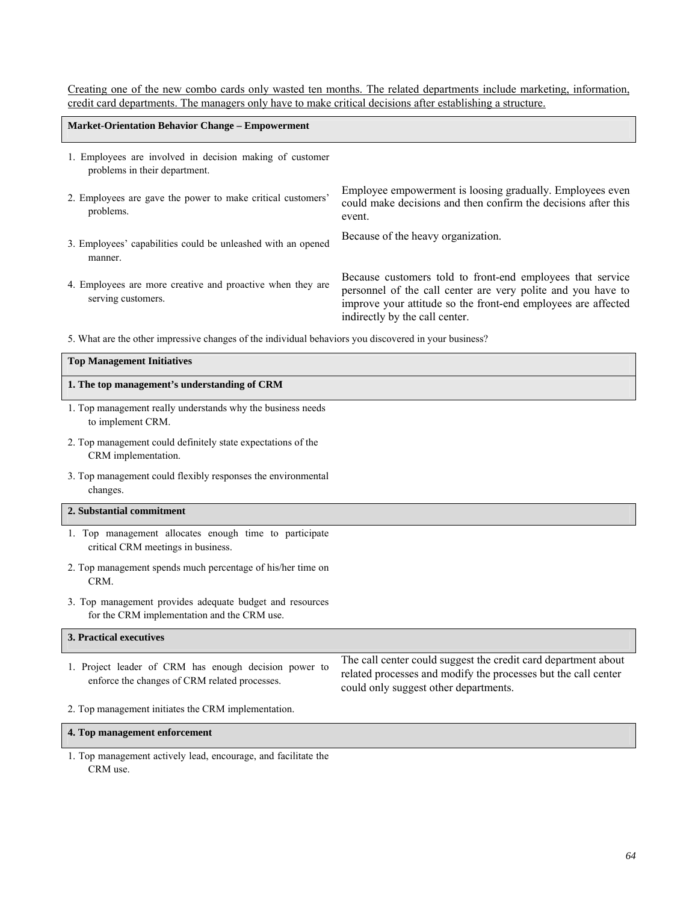Creating one of the new combo cards only wasted ten months. The related departments include marketing, information, credit card departments. The managers only have to make critical decisions after establishing a structure.

| <b>Market-Orientation Behavior Change – Empowerment</b>                                   |                                                                                                                                                                                                                               |
|-------------------------------------------------------------------------------------------|-------------------------------------------------------------------------------------------------------------------------------------------------------------------------------------------------------------------------------|
| 1. Employees are involved in decision making of customer<br>problems in their department. |                                                                                                                                                                                                                               |
| 2. Employees are gave the power to make critical customers'<br>problems.                  | Employee empowerment is loosing gradually. Employees even<br>could make decisions and then confirm the decisions after this<br>event.                                                                                         |
| 3. Employees' capabilities could be unleashed with an opened<br>manner.                   | Because of the heavy organization.                                                                                                                                                                                            |
| 4. Employees are more creative and proactive when they are<br>serving customers.          | Because customers told to front-end employees that service<br>personnel of the call center are very polite and you have to<br>improve your attitude so the front-end employees are affected<br>indirectly by the call center. |

5. What are the other impressive changes of the individual behaviors you discovered in your business?

| <b>Top Management Initiatives</b>                                                                       |                                                                                                                                                                           |  |  |  |
|---------------------------------------------------------------------------------------------------------|---------------------------------------------------------------------------------------------------------------------------------------------------------------------------|--|--|--|
| 1. The top management's understanding of CRM                                                            |                                                                                                                                                                           |  |  |  |
| 1. Top management really understands why the business needs<br>to implement CRM.                        |                                                                                                                                                                           |  |  |  |
| 2. Top management could definitely state expectations of the<br>CRM implementation.                     |                                                                                                                                                                           |  |  |  |
| 3. Top management could flexibly responses the environmental<br>changes.                                |                                                                                                                                                                           |  |  |  |
| 2. Substantial commitment                                                                               |                                                                                                                                                                           |  |  |  |
| 1. Top management allocates enough time to participate<br>critical CRM meetings in business.            |                                                                                                                                                                           |  |  |  |
| 2. Top management spends much percentage of his/her time on<br>CRM.                                     |                                                                                                                                                                           |  |  |  |
| 3. Top management provides adequate budget and resources<br>for the CRM implementation and the CRM use. |                                                                                                                                                                           |  |  |  |
| 3. Practical executives                                                                                 |                                                                                                                                                                           |  |  |  |
| 1. Project leader of CRM has enough decision power to<br>enforce the changes of CRM related processes.  | The call center could suggest the credit card department about<br>related processes and modify the processes but the call center<br>could only suggest other departments. |  |  |  |

2. Top management initiates the CRM implementation.

**4. Top management enforcement**

1. Top management actively lead, encourage, and facilitate the CRM use.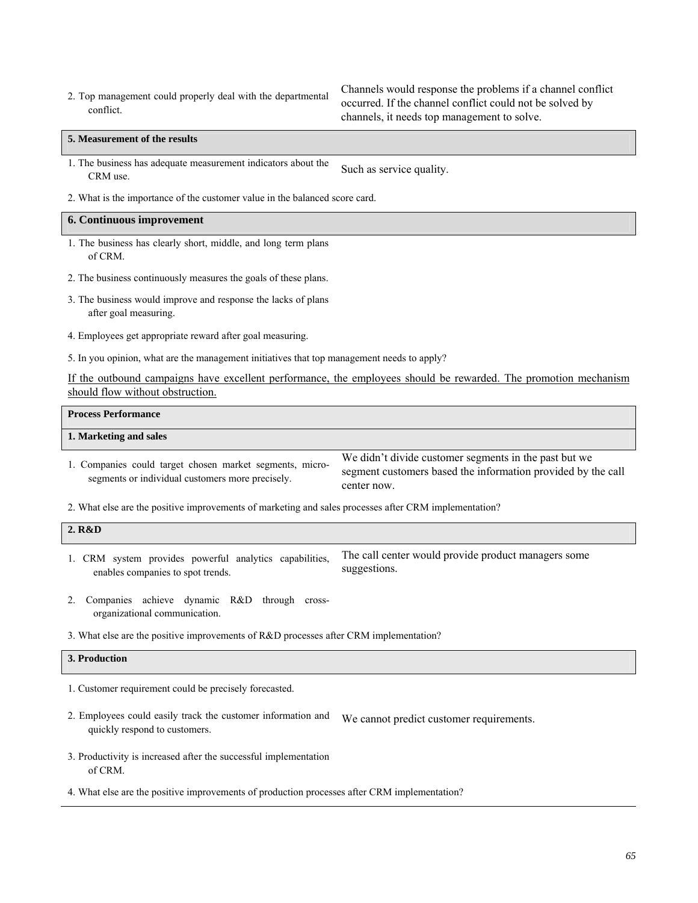2. Top management could properly deal with the departmental conflict.

Channels would response the problems if a channel conflict occurred. If the channel conflict could not be solved by channels, it needs top management to solve.

#### **5. Measurement of the results**

1. The business has adequate measurement indicators about the E business has adequate measurement murcators about the<br>CRM use.

2. What is the importance of the customer value in the balanced score card.

#### **6. Continuous improvement**

- 1. The business has clearly short, middle, and long term plans of CRM.
- 2. The business continuously measures the goals of these plans.
- 3. The business would improve and response the lacks of plans after goal measuring.
- 4. Employees get appropriate reward after goal measuring.
- 5. In you opinion, what are the management initiatives that top management needs to apply?

If the outbound campaigns have excellent performance, the employees should be rewarded. The promotion mechanism should flow without obstruction.

| <b>Process Performance</b>                                                                                   |                                                                                                                                      |
|--------------------------------------------------------------------------------------------------------------|--------------------------------------------------------------------------------------------------------------------------------------|
| 1. Marketing and sales                                                                                       |                                                                                                                                      |
| 1. Companies could target chosen market segments, micro-<br>segments or individual customers more precisely. | We didn't divide customer segments in the past but we<br>segment customers based the information provided by the call<br>center now. |

2. What else are the positive improvements of marketing and sales processes after CRM implementation?

| 2. R&D |  |  |                                                         |                                                     |
|--------|--|--|---------------------------------------------------------|-----------------------------------------------------|
|        |  |  | 1. CRM system provides powerful analytics capabilities, | The call center would provide product managers some |

suggestions.

- 2. Companies achieve dynamic R&D through crossorganizational communication.
- 3. What else are the positive improvements of R&D processes after CRM implementation?

## **3. Production**

1. Customer requirement could be precisely forecasted.

enables companies to spot trends.

- 2. Employees could easily track the customer information and quickly respond to customers. We cannot predict customer requirements.
- 3. Productivity is increased after the successful implementation of CRM.
- 4. What else are the positive improvements of production processes after CRM implementation?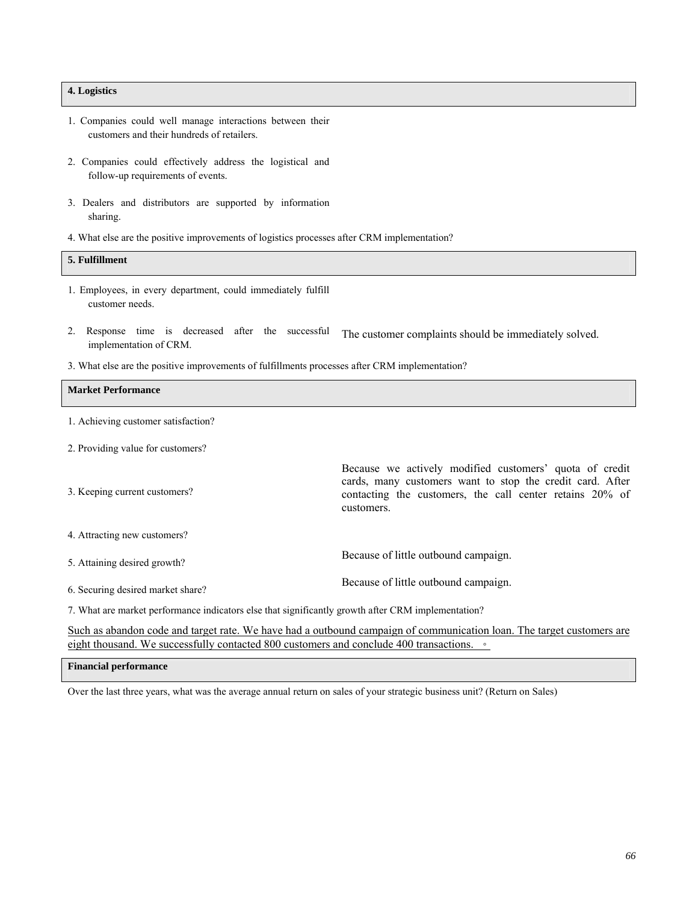## **4. Logistics**

- 1. Companies could well manage interactions between their customers and their hundreds of retailers.
- 2. Companies could effectively address the logistical and follow-up requirements of events.
- 3. Dealers and distributors are supported by information sharing.
- 4. What else are the positive improvements of logistics processes after CRM implementation?

# **5. Fulfillment**

- 1. Employees, in every department, could immediately fulfill customer needs.
- 2. Response time is decreased after the successful implementation of CRM. The customer complaints should be immediately solved.
- 3. What else are the positive improvements of fulfillments processes after CRM implementation?

### **Market Performance**

- 1. Achieving customer satisfaction?
- 2. Providing value for customers?

| 3. Keeping current customers?                                                                     | Because we actively modified customers' quota of credit<br>cards, many customers want to stop the credit card. After<br>contacting the customers, the call center retains 20% of<br>customers. |
|---------------------------------------------------------------------------------------------------|------------------------------------------------------------------------------------------------------------------------------------------------------------------------------------------------|
| 4. Attracting new customers?                                                                      |                                                                                                                                                                                                |
| 5. Attaining desired growth?                                                                      | Because of little outbound campaign.                                                                                                                                                           |
| 6. Securing desired market share?                                                                 | Because of little outbound campaign.                                                                                                                                                           |
| 7. What are mortar performance indicators also that gianticantly growth often CDM implementation? |                                                                                                                                                                                                |

7. What are market performance indicators else that significantly growth after CRM implementation?

Such as abandon code and target rate. We have had a outbound campaign of communication loan. The target customers are eight thousand. We successfully contacted 800 customers and conclude 400 transactions. •

#### **Financial performance**

Over the last three years, what was the average annual return on sales of your strategic business unit? (Return on Sales)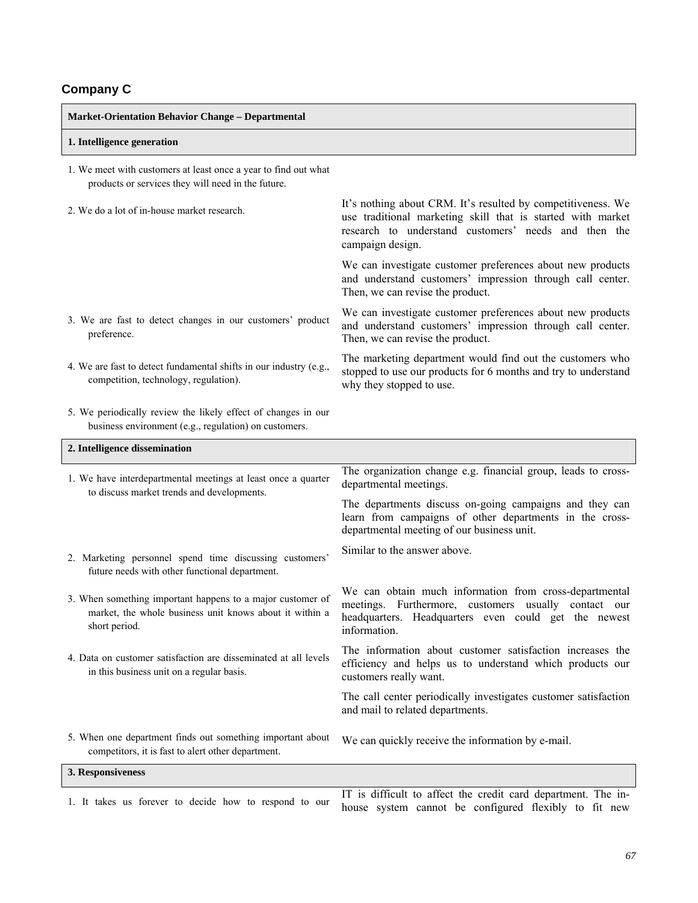# **Company C**

| <b>Market-Orientation Behavior Change - Departmental</b>                                                                               |                                                                                                                                                                                                         |
|----------------------------------------------------------------------------------------------------------------------------------------|---------------------------------------------------------------------------------------------------------------------------------------------------------------------------------------------------------|
| 1. Intelligence generation                                                                                                             |                                                                                                                                                                                                         |
| 1. We meet with customers at least once a year to find out what<br>products or services they will need in the future.                  |                                                                                                                                                                                                         |
| 2. We do a lot of in-house market research.                                                                                            | It's nothing about CRM. It's resulted by competitiveness. We<br>use traditional marketing skill that is started with market<br>research to understand customers' needs and then the<br>campaign design. |
|                                                                                                                                        | We can investigate customer preferences about new products<br>and understand customers' impression through call center.<br>Then, we can revise the product.                                             |
| 3. We are fast to detect changes in our customers' product<br>preference.                                                              | We can investigate customer preferences about new products<br>and understand customers' impression through call center.<br>Then, we can revise the product.                                             |
| 4. We are fast to detect fundamental shifts in our industry (e.g.,<br>competition, technology, regulation).                            | The marketing department would find out the customers who<br>stopped to use our products for 6 months and try to understand<br>why they stopped to use.                                                 |
| 5. We periodically review the likely effect of changes in our<br>business environment (e.g., regulation) on customers.                 |                                                                                                                                                                                                         |
| 2. Intelligence dissemination                                                                                                          |                                                                                                                                                                                                         |
| 1. We have interdepartmental meetings at least once a quarter<br>to discuss market trends and developments.                            | The organization change e.g. financial group, leads to cross-<br>departmental meetings.                                                                                                                 |
|                                                                                                                                        | The departments discuss on-going campaigns and they can<br>learn from campaigns of other departments in the cross-<br>departmental meeting of our business unit.                                        |
| 2. Marketing personnel spend time discussing customers'<br>future needs with other functional department.                              | Similar to the answer above.                                                                                                                                                                            |
| 3. When something important happens to a major customer of<br>market, the whole business unit knows about it within a<br>short period. | We can obtain much information from cross-departmental<br>meetings. Furthermore, customers usually contact our<br>headquarters. Headquarters even could get the newest<br>information.                  |
| 4. Data on customer satisfaction are disseminated at all levels<br>in this business unit on a regular basis.                           | The information about customer satisfaction increases the<br>efficiency and helps us to understand which products our<br>customers really want.                                                         |
|                                                                                                                                        | The call center periodically investigates customer satisfaction<br>and mail to related departments.                                                                                                     |
| 5. When one department finds out something important about<br>competitors, it is fast to alert other department.                       | We can quickly receive the information by e-mail.                                                                                                                                                       |
| 3. Responsiveness                                                                                                                      |                                                                                                                                                                                                         |
| 1. It takes us forever to decide how to respond to our                                                                                 | IT is difficult to affect the credit card department. The in-<br>house system cannot be configured flexibly to fit new                                                                                  |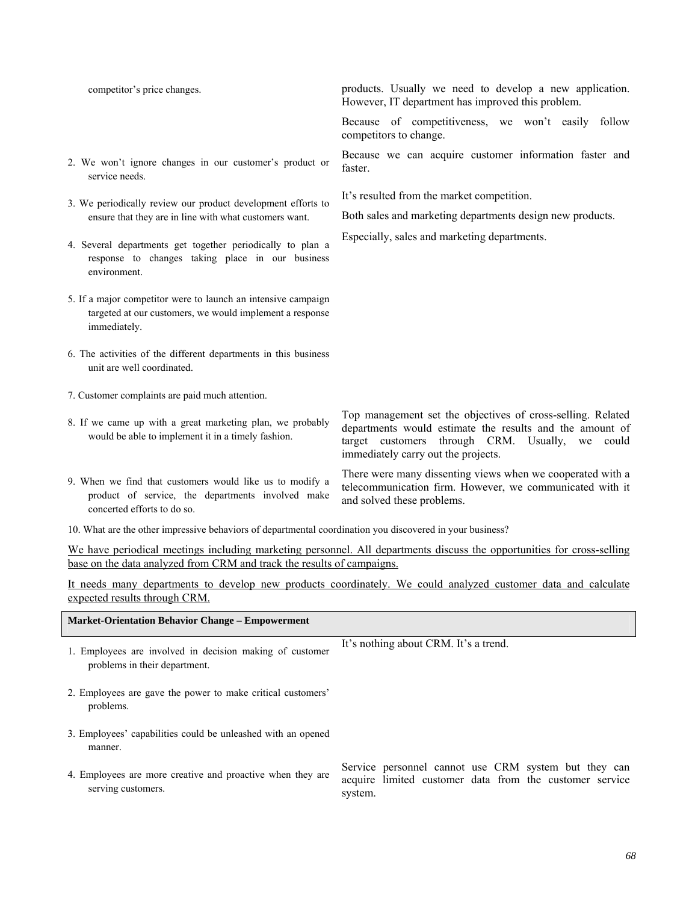- 2. We won't ignore changes in our customer's product or service needs.
- 3. We periodically review our product development efforts to ensure that they are in line with what customers want.
- 4. Several departments get together periodically to plan a response to changes taking place in our business environment.
- 5. If a major competitor were to launch an intensive campaign targeted at our customers, we would implement a response immediately.
- 6. The activities of the different departments in this business unit are well coordinated.
- 7. Customer complaints are paid much attention.
- 8. If we came up with a great marketing plan, we probably would be able to implement it in a timely fashion.
- 9. When we find that customers would like us to modify a product of service, the departments involved make concerted efforts to do so.

competitor's price changes. products. Usually we need to develop a new application. However, IT department has improved this problem.

> Because of competitiveness, we won't easily follow competitors to change.

> Because we can acquire customer information faster and faster.

It's resulted from the market competition.

Both sales and marketing departments design new products.

Especially, sales and marketing departments.

Top management set the objectives of cross-selling. Related departments would estimate the results and the amount of target customers through CRM. Usually, we could immediately carry out the projects.

There were many dissenting views when we cooperated with a telecommunication firm. However, we communicated with it and solved these problems.

10. What are the other impressive behaviors of departmental coordination you discovered in your business?

We have periodical meetings including marketing personnel. All departments discuss the opportunities for cross-selling base on the data analyzed from CRM and track the results of campaigns.

It needs many departments to develop new products coordinately. We could analyzed customer data and calculate expected results through CRM.

| <b>Market-Orientation Behavior Change – Empowerment</b>                                   |                                                                                                                            |
|-------------------------------------------------------------------------------------------|----------------------------------------------------------------------------------------------------------------------------|
| 1. Employees are involved in decision making of customer<br>problems in their department. | It's nothing about CRM. It's a trend.                                                                                      |
| 2. Employees are gave the power to make critical customers'<br>problems.                  |                                                                                                                            |
| 3. Employees' capabilities could be unleashed with an opened<br>manner.                   |                                                                                                                            |
| 4. Employees are more creative and proactive when they are<br>serving customers.          | Service personnel cannot use CRM system but they can<br>acquire limited customer data from the customer service<br>system. |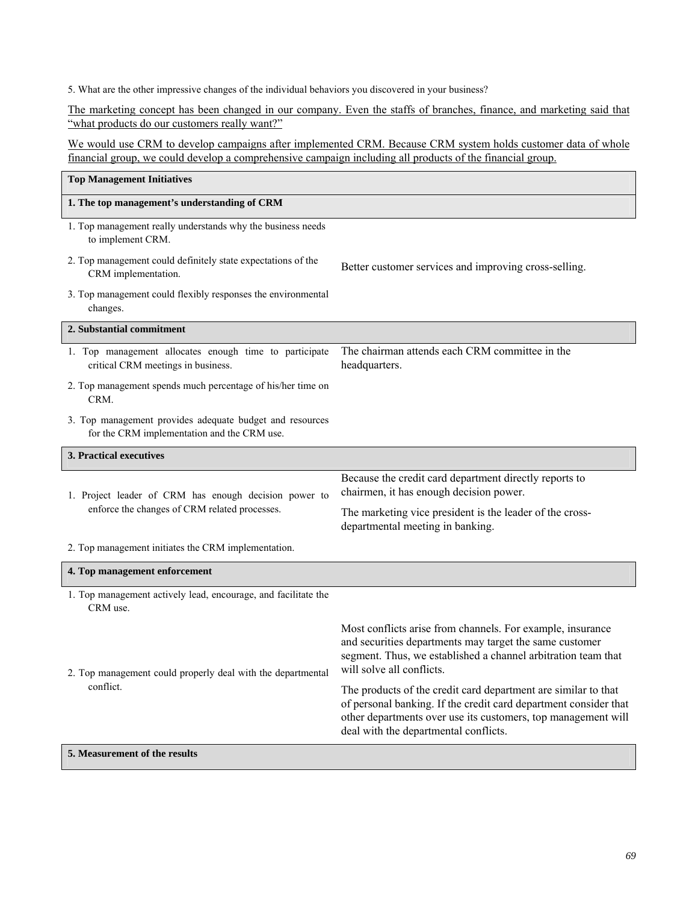5. What are the other impressive changes of the individual behaviors you discovered in your business?

The marketing concept has been changed in our company. Even the staffs of branches, finance, and marketing said that "what products do our customers really want?"

We would use CRM to develop campaigns after implemented CRM. Because CRM system holds customer data of whole financial group, we could develop a comprehensive campaign including all products of the financial group.

| <b>Top Management Initiatives</b>                                                                       |                                                                                                                                                                                                                                              |
|---------------------------------------------------------------------------------------------------------|----------------------------------------------------------------------------------------------------------------------------------------------------------------------------------------------------------------------------------------------|
| 1. The top management's understanding of CRM                                                            |                                                                                                                                                                                                                                              |
| 1. Top management really understands why the business needs<br>to implement CRM.                        |                                                                                                                                                                                                                                              |
| 2. Top management could definitely state expectations of the<br>CRM implementation.                     | Better customer services and improving cross-selling.                                                                                                                                                                                        |
| 3. Top management could flexibly responses the environmental<br>changes.                                |                                                                                                                                                                                                                                              |
| 2. Substantial commitment                                                                               |                                                                                                                                                                                                                                              |
| 1. Top management allocates enough time to participate<br>critical CRM meetings in business.            | The chairman attends each CRM committee in the<br>headquarters.                                                                                                                                                                              |
| 2. Top management spends much percentage of his/her time on<br>CRM.                                     |                                                                                                                                                                                                                                              |
| 3. Top management provides adequate budget and resources<br>for the CRM implementation and the CRM use. |                                                                                                                                                                                                                                              |
| 3. Practical executives                                                                                 |                                                                                                                                                                                                                                              |
| 1. Project leader of CRM has enough decision power to                                                   | Because the credit card department directly reports to<br>chairmen, it has enough decision power.                                                                                                                                            |
| enforce the changes of CRM related processes.                                                           | The marketing vice president is the leader of the cross-<br>departmental meeting in banking.                                                                                                                                                 |
| 2. Top management initiates the CRM implementation.                                                     |                                                                                                                                                                                                                                              |
| 4. Top management enforcement                                                                           |                                                                                                                                                                                                                                              |
| 1. Top management actively lead, encourage, and facilitate the<br>CRM use.                              |                                                                                                                                                                                                                                              |
| 2. Top management could properly deal with the departmental<br>conflict.                                | Most conflicts arise from channels. For example, insurance<br>and securities departments may target the same customer<br>segment. Thus, we established a channel arbitration team that<br>will solve all conflicts.                          |
|                                                                                                         | The products of the credit card department are similar to that<br>of personal banking. If the credit card department consider that<br>other departments over use its customers, top management will<br>deal with the departmental conflicts. |
| 5. Measurement of the results                                                                           |                                                                                                                                                                                                                                              |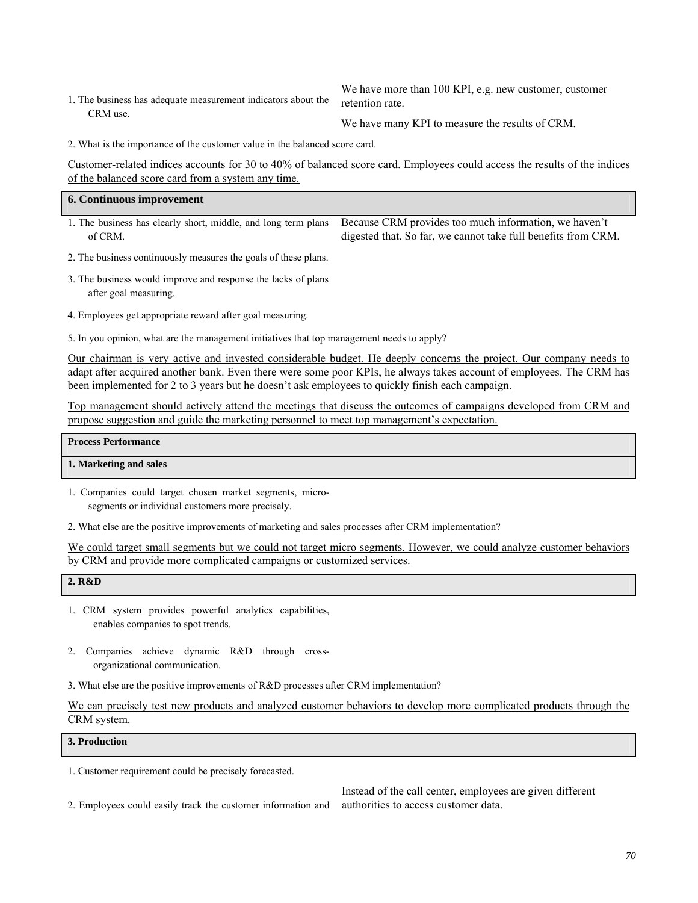1. The business has adequate measurement indicators about the CRM use.

We have more than 100 KPI, e.g. new customer, customer retention rate.

We have many KPI to measure the results of CRM.

2. What is the importance of the customer value in the balanced score card.

Customer-related indices accounts for 30 to 40% of balanced score card. Employees could access the results of the indices of the balanced score card from a system any time.

| <b>6. Continuous improvement</b> |                                                                                                                      |
|----------------------------------|----------------------------------------------------------------------------------------------------------------------|
|                                  | 1. The business has clearly short, middle, and long term plans Because CRM provides too much information, we haven't |
| of CRM.                          | digested that. So far, we cannot take full benefits from CRM.                                                        |

- 2. The business continuously measures the goals of these plans.
- 3. The business would improve and response the lacks of plans after goal measuring.
- 4. Employees get appropriate reward after goal measuring.

5. In you opinion, what are the management initiatives that top management needs to apply?

Our chairman is very active and invested considerable budget. He deeply concerns the project. Our company needs to adapt after acquired another bank. Even there were some poor KPIs, he always takes account of employees. The CRM has been implemented for 2 to 3 years but he doesn't ask employees to quickly finish each campaign.

Top management should actively attend the meetings that discuss the outcomes of campaigns developed from CRM and propose suggestion and guide the marketing personnel to meet top management's expectation.

### **Process Performance**

#### **1. Marketing and sales**

- 1. Companies could target chosen market segments, microsegments or individual customers more precisely.
- 2. What else are the positive improvements of marketing and sales processes after CRM implementation?

We could target small segments but we could not target micro segments. However, we could analyze customer behaviors by CRM and provide more complicated campaigns or customized services.

| 2. R&D |  |
|--------|--|
|--------|--|

- 1. CRM system provides powerful analytics capabilities, enables companies to spot trends.
- 2. Companies achieve dynamic R&D through crossorganizational communication.
- 3. What else are the positive improvements of R&D processes after CRM implementation?

We can precisely test new products and analyzed customer behaviors to develop more complicated products through the CRM system.

### **3. Production**

1. Customer requirement could be precisely forecasted.

2. Employees could easily track the customer information and

Instead of the call center, employees are given different authorities to access customer data.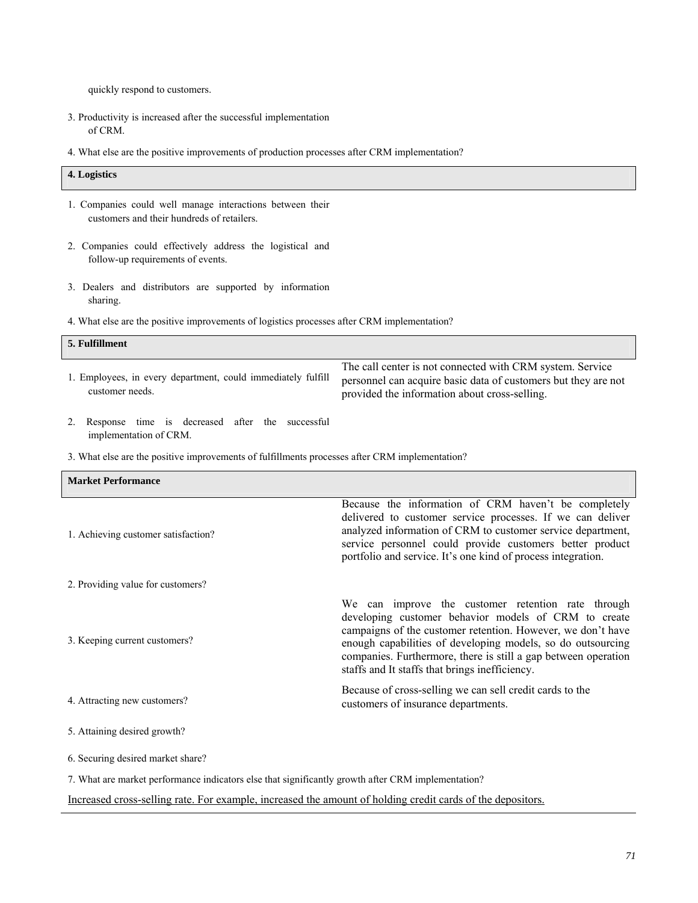quickly respond to customers.

- 3. Productivity is increased after the successful implementation of CRM.
- 4. What else are the positive improvements of production processes after CRM implementation?

# **4. Logistics** 1. Companies could well manage interactions between their customers and their hundreds of retailers. 2. Companies could effectively address the logistical and follow-up requirements of events. 3. Dealers and distributors are supported by information sharing. 4. What else are the positive improvements of logistics processes after CRM implementation? **5. Fulfillment** 1. Employees, in every department, could immediately fulfill customer needs. The call center is not connected with CRM system. Service personnel can acquire basic data of customers but they are not provided the information about cross-selling. 2. Response time is decreased after the successful implementation of CRM. 3. What else are the positive improvements of fulfillments processes after CRM implementation?

| <b>Market Performance</b>                                                                                  |                                                                                                                                                                                                                                                                                                                                                              |
|------------------------------------------------------------------------------------------------------------|--------------------------------------------------------------------------------------------------------------------------------------------------------------------------------------------------------------------------------------------------------------------------------------------------------------------------------------------------------------|
| 1. Achieving customer satisfaction?                                                                        | Because the information of CRM haven't be completely<br>delivered to customer service processes. If we can deliver<br>analyzed information of CRM to customer service department,<br>service personnel could provide customers better product<br>portfolio and service. It's one kind of process integration.                                                |
| 2. Providing value for customers?                                                                          |                                                                                                                                                                                                                                                                                                                                                              |
| 3. Keeping current customers?                                                                              | We can improve the customer retention rate through<br>developing customer behavior models of CRM to create<br>campaigns of the customer retention. However, we don't have<br>enough capabilities of developing models, so do outsourcing<br>companies. Furthermore, there is still a gap between operation<br>staffs and It staffs that brings inefficiency. |
| 4. Attracting new customers?                                                                               | Because of cross-selling we can sell credit cards to the<br>customers of insurance departments.                                                                                                                                                                                                                                                              |
| 5. Attaining desired growth?                                                                               |                                                                                                                                                                                                                                                                                                                                                              |
| 6. Securing desired market share?                                                                          |                                                                                                                                                                                                                                                                                                                                                              |
| 7. What are market performance indicators else that significantly growth after CRM implementation?         |                                                                                                                                                                                                                                                                                                                                                              |
| Increased cross-selling rate. For example, increased the amount of holding credit cards of the depositors. |                                                                                                                                                                                                                                                                                                                                                              |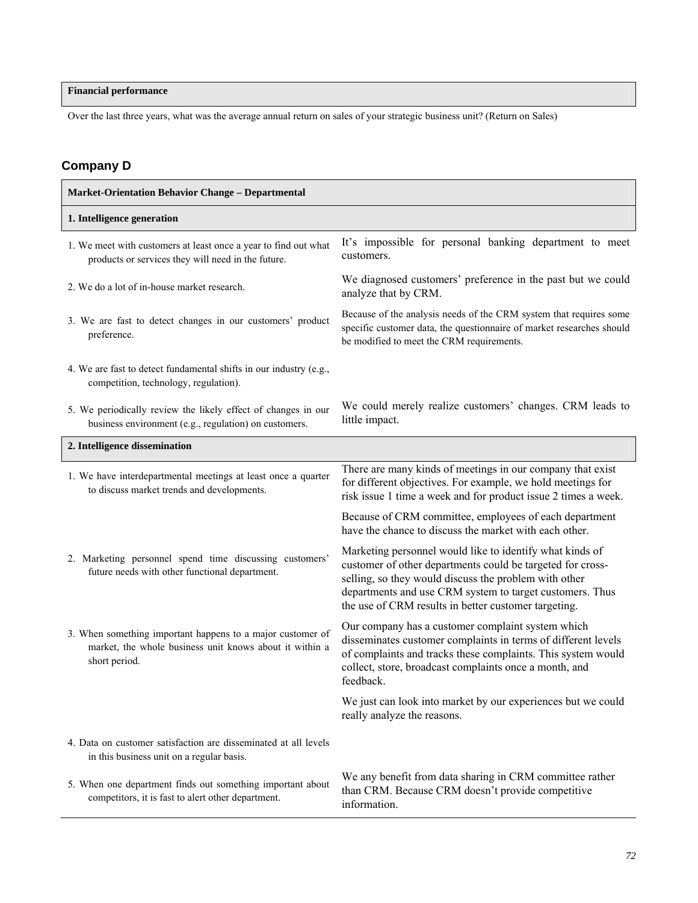# **Financial performance**

Over the last three years, what was the average annual return on sales of your strategic business unit? (Return on Sales)

# **Company D**

| <b>Market-Orientation Behavior Change - Departmental</b>                                                                               |                                                                                                                                                                                                                                                                                                     |
|----------------------------------------------------------------------------------------------------------------------------------------|-----------------------------------------------------------------------------------------------------------------------------------------------------------------------------------------------------------------------------------------------------------------------------------------------------|
| 1. Intelligence generation                                                                                                             |                                                                                                                                                                                                                                                                                                     |
| 1. We meet with customers at least once a year to find out what<br>products or services they will need in the future.                  | It's impossible for personal banking department to meet<br>customers.                                                                                                                                                                                                                               |
| 2. We do a lot of in-house market research.                                                                                            | We diagnosed customers' preference in the past but we could<br>analyze that by CRM.                                                                                                                                                                                                                 |
| 3. We are fast to detect changes in our customers' product<br>preference.                                                              | Because of the analysis needs of the CRM system that requires some<br>specific customer data, the questionnaire of market researches should<br>be modified to meet the CRM requirements.                                                                                                            |
| 4. We are fast to detect fundamental shifts in our industry (e.g.,<br>competition, technology, regulation).                            |                                                                                                                                                                                                                                                                                                     |
| 5. We periodically review the likely effect of changes in our<br>business environment (e.g., regulation) on customers.                 | We could merely realize customers' changes. CRM leads to<br>little impact.                                                                                                                                                                                                                          |
| 2. Intelligence dissemination                                                                                                          |                                                                                                                                                                                                                                                                                                     |
| 1. We have interdepartmental meetings at least once a quarter<br>to discuss market trends and developments.                            | There are many kinds of meetings in our company that exist<br>for different objectives. For example, we hold meetings for<br>risk issue 1 time a week and for product issue 2 times a week.                                                                                                         |
|                                                                                                                                        | Because of CRM committee, employees of each department<br>have the chance to discuss the market with each other.                                                                                                                                                                                    |
| 2. Marketing personnel spend time discussing customers'<br>future needs with other functional department.                              | Marketing personnel would like to identify what kinds of<br>customer of other departments could be targeted for cross-<br>selling, so they would discuss the problem with other<br>departments and use CRM system to target customers. Thus<br>the use of CRM results in better customer targeting. |
| 3. When something important happens to a major customer of<br>market, the whole business unit knows about it within a<br>short period. | Our company has a customer complaint system which<br>disseminates customer complaints in terms of different levels<br>of complaints and tracks these complaints. This system would<br>collect, store, broadcast complaints once a month, and<br>feedback.                                           |
|                                                                                                                                        | We just can look into market by our experiences but we could<br>really analyze the reasons.                                                                                                                                                                                                         |
| 4. Data on customer satisfaction are disseminated at all levels<br>in this business unit on a regular basis.                           |                                                                                                                                                                                                                                                                                                     |
| 5. When one department finds out something important about<br>competitors, it is fast to alert other department.                       | We any benefit from data sharing in CRM committee rather<br>than CRM. Because CRM doesn't provide competitive<br>information.                                                                                                                                                                       |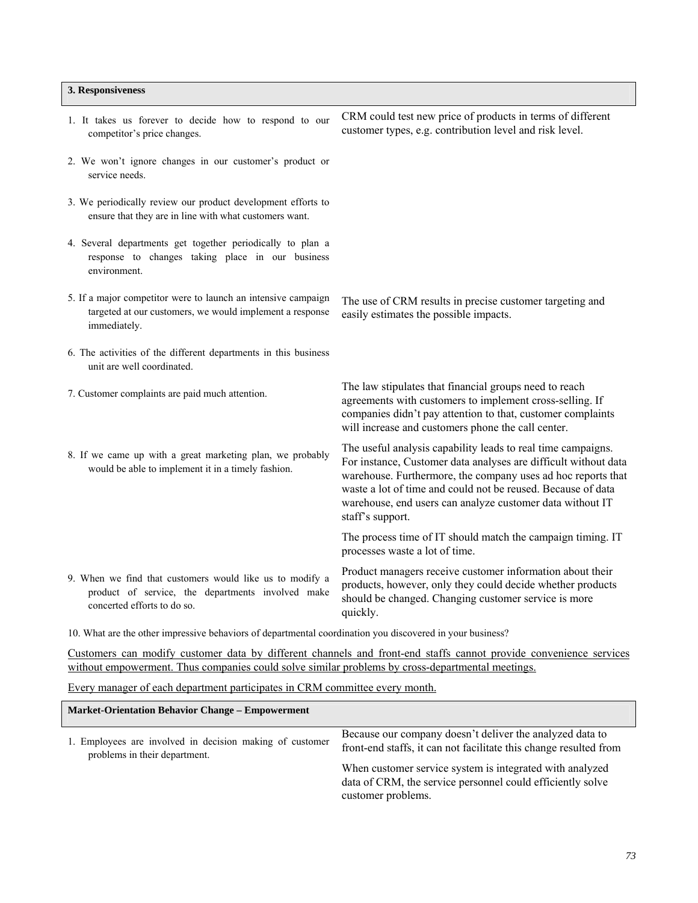#### **3. Responsiveness**

1. It takes us forever to decide how to respond to our competitor's price changes. CRM could test new price of products in terms of different customer types, e.g. contribution level and risk level. 2. We won't ignore changes in our customer's product or service needs. 3. We periodically review our product development efforts to ensure that they are in line with what customers want. 4. Several departments get together periodically to plan a response to changes taking place in our business environment. 5. If a major competitor were to launch an intensive campaign targeted at our customers, we would implement a response immediately. The use of CRM results in precise customer targeting and easily estimates the possible impacts. 6. The activities of the different departments in this business unit are well coordinated. 7. Customer complaints are paid much attention. The law stipulates that financial groups need to reach agreements with customers to implement cross-selling. If companies didn't pay attention to that, customer complaints will increase and customers phone the call center. 8. If we came up with a great marketing plan, we probably would be able to implement it in a timely fashion. The useful analysis capability leads to real time campaigns. For instance, Customer data analyses are difficult without data warehouse. Furthermore, the company uses ad hoc reports that waste a lot of time and could not be reused. Because of data warehouse, end users can analyze customer data without IT staff's support. The process time of IT should match the campaign timing. IT processes waste a lot of time. 9. When we find that customers would like us to modify a product of service, the departments involved make concerted efforts to do so. Product managers receive customer information about their products, however, only they could decide whether products should be changed. Changing customer service is more quickly. 10. What are the other impressive behaviors of departmental coordination you discovered in your business?

Customers can modify customer data by different channels and front-end staffs cannot provide convenience services without empowerment. Thus companies could solve similar problems by cross-departmental meetings.

Every manager of each department participates in CRM committee every month.

| <b>Market-Orientation Behavior Change - Empowerment</b>                                   |                                                                                                                                              |
|-------------------------------------------------------------------------------------------|----------------------------------------------------------------------------------------------------------------------------------------------|
| 1. Employees are involved in decision making of customer<br>problems in their department. | Because our company doesn't deliver the analyzed data to<br>front-end staffs, it can not facilitate this change resulted from                |
|                                                                                           | When customer service system is integrated with analyzed<br>data of CRM, the service personnel could efficiently solve<br>customer problems. |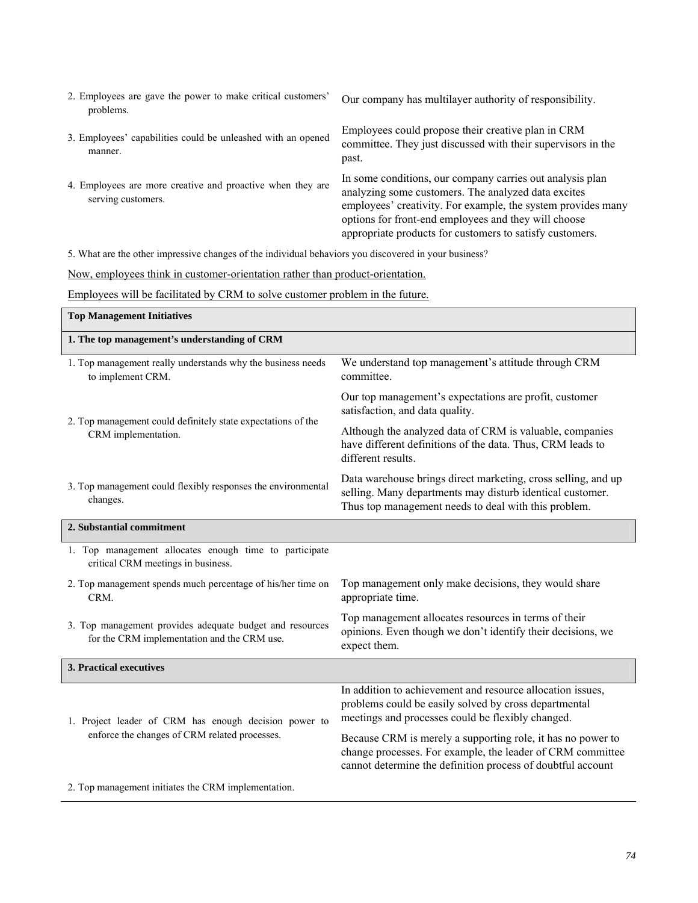| 2. Employees are gave the power to make critical customers'<br>problems.         | Our company has multilayer authority of responsibility.                                                                                                                                                                                                                                              |
|----------------------------------------------------------------------------------|------------------------------------------------------------------------------------------------------------------------------------------------------------------------------------------------------------------------------------------------------------------------------------------------------|
| 3. Employees' capabilities could be unleashed with an opened<br>manner.          | Employees could propose their creative plan in CRM<br>committee. They just discussed with their supervisors in the<br>past.                                                                                                                                                                          |
| 4. Employees are more creative and proactive when they are<br>serving customers. | In some conditions, our company carries out analysis plan<br>analyzing some customers. The analyzed data excites<br>employees' creativity. For example, the system provides many<br>options for front-end employees and they will choose<br>appropriate products for customers to satisfy customers. |

5. What are the other impressive changes of the individual behaviors you discovered in your business?

Now, employees think in customer-orientation rather than product-orientation.

Employees will be facilitated by CRM to solve customer problem in the future.

| <b>Top Management Initiatives</b>                                                                       |                                                                                                                                                                                          |
|---------------------------------------------------------------------------------------------------------|------------------------------------------------------------------------------------------------------------------------------------------------------------------------------------------|
| 1. The top management's understanding of CRM                                                            |                                                                                                                                                                                          |
| 1. Top management really understands why the business needs<br>to implement CRM.                        | We understand top management's attitude through CRM<br>committee.                                                                                                                        |
| 2. Top management could definitely state expectations of the<br>CRM implementation.                     | Our top management's expectations are profit, customer<br>satisfaction, and data quality.                                                                                                |
|                                                                                                         | Although the analyzed data of CRM is valuable, companies<br>have different definitions of the data. Thus, CRM leads to<br>different results.                                             |
| 3. Top management could flexibly responses the environmental<br>changes.                                | Data warehouse brings direct marketing, cross selling, and up<br>selling. Many departments may disturb identical customer.<br>Thus top management needs to deal with this problem.       |
| 2. Substantial commitment                                                                               |                                                                                                                                                                                          |
| 1. Top management allocates enough time to participate<br>critical CRM meetings in business.            |                                                                                                                                                                                          |
| 2. Top management spends much percentage of his/her time on<br>CRM.                                     | Top management only make decisions, they would share<br>appropriate time.                                                                                                                |
| 3. Top management provides adequate budget and resources<br>for the CRM implementation and the CRM use. | Top management allocates resources in terms of their<br>opinions. Even though we don't identify their decisions, we<br>expect them.                                                      |
| 3. Practical executives                                                                                 |                                                                                                                                                                                          |
| 1. Project leader of CRM has enough decision power to<br>enforce the changes of CRM related processes.  | In addition to achievement and resource allocation issues,<br>problems could be easily solved by cross departmental<br>meetings and processes could be flexibly changed.                 |
|                                                                                                         | Because CRM is merely a supporting role, it has no power to<br>change processes. For example, the leader of CRM committee<br>cannot determine the definition process of doubtful account |
| 2. Top management initiates the CRM implementation.                                                     |                                                                                                                                                                                          |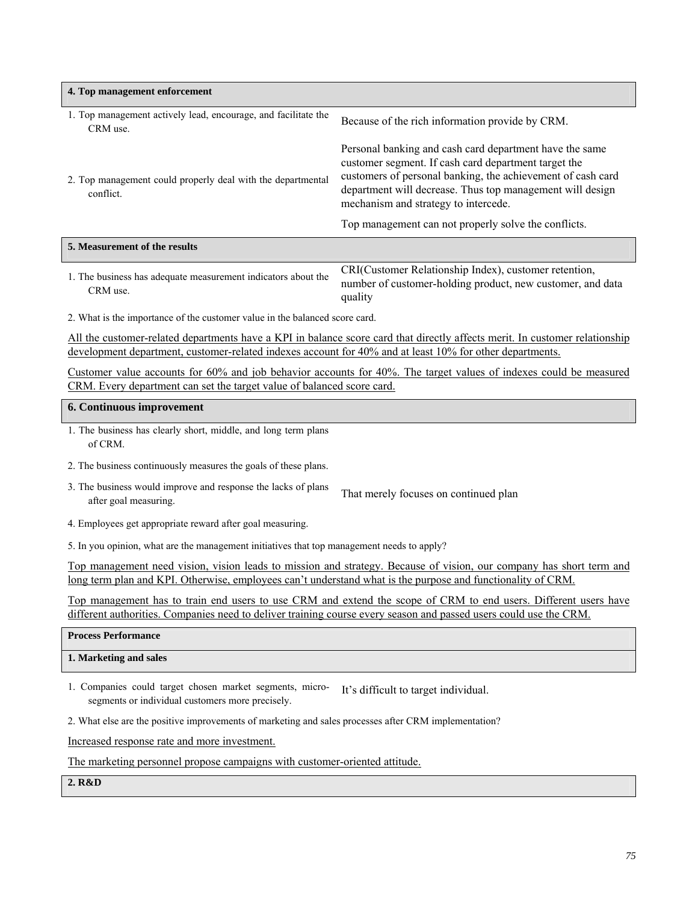| 4. Top management enforcement                                                                                                                                                                                                           |                                                                                                                                                                                                                                                                                     |  |
|-----------------------------------------------------------------------------------------------------------------------------------------------------------------------------------------------------------------------------------------|-------------------------------------------------------------------------------------------------------------------------------------------------------------------------------------------------------------------------------------------------------------------------------------|--|
| 1. Top management actively lead, encourage, and facilitate the<br>CRM use.                                                                                                                                                              | Because of the rich information provide by CRM.                                                                                                                                                                                                                                     |  |
| 2. Top management could properly deal with the departmental<br>conflict.                                                                                                                                                                | Personal banking and cash card department have the same<br>customer segment. If cash card department target the<br>customers of personal banking, the achievement of cash card<br>department will decrease. Thus top management will design<br>mechanism and strategy to intercede. |  |
|                                                                                                                                                                                                                                         | Top management can not properly solve the conflicts.                                                                                                                                                                                                                                |  |
| 5. Measurement of the results                                                                                                                                                                                                           |                                                                                                                                                                                                                                                                                     |  |
| 1. The business has adequate measurement indicators about the<br>CRM use.                                                                                                                                                               | CRI(Customer Relationship Index), customer retention,<br>number of customer-holding product, new customer, and data<br>quality                                                                                                                                                      |  |
| 2. What is the importance of the customer value in the balanced score card.                                                                                                                                                             |                                                                                                                                                                                                                                                                                     |  |
| All the customer-related departments have a KPI in balance score card that directly affects merit. In customer relationship<br>development department, customer-related indexes account for 40% and at least 10% for other departments. |                                                                                                                                                                                                                                                                                     |  |
| Customer value accounts for 60% and job behavior accounts for 40%. The target values of indexes could be measured<br>CRM. Every department can set the target value of balanced score card.                                             |                                                                                                                                                                                                                                                                                     |  |
| 6. Continuous improvement                                                                                                                                                                                                               |                                                                                                                                                                                                                                                                                     |  |
| 1. The business has clearly short, middle, and long term plans<br>of CRM.                                                                                                                                                               |                                                                                                                                                                                                                                                                                     |  |
| 2. The business continuously measures the goals of these plans.                                                                                                                                                                         |                                                                                                                                                                                                                                                                                     |  |

- 3. The business would improve and response the lacks of plans after goal measuring.<br>
That merely focuses on continued plan<br>
That merely focuses on continued plan
- 4. Employees get appropriate reward after goal measuring.

5. In you opinion, what are the management initiatives that top management needs to apply?

Top management need vision, vision leads to mission and strategy. Because of vision, our company has short term and long term plan and KPI. Otherwise, employees can't understand what is the purpose and functionality of CRM.

Top management has to train end users to use CRM and extend the scope of CRM to end users. Different users have different authorities. Companies need to deliver training course every season and passed users could use the CRM.

| <b>Process Performance</b> |  |
|----------------------------|--|
| 1. Marketing and sales     |  |
|                            |  |

1. Companies could target chosen market segments, microsegments or individual customers more precisely. It's difficult to target individual.

2. What else are the positive improvements of marketing and sales processes after CRM implementation?

Increased response rate and more investment.

The marketing personnel propose campaigns with customer-oriented attitude.

**2. R&D**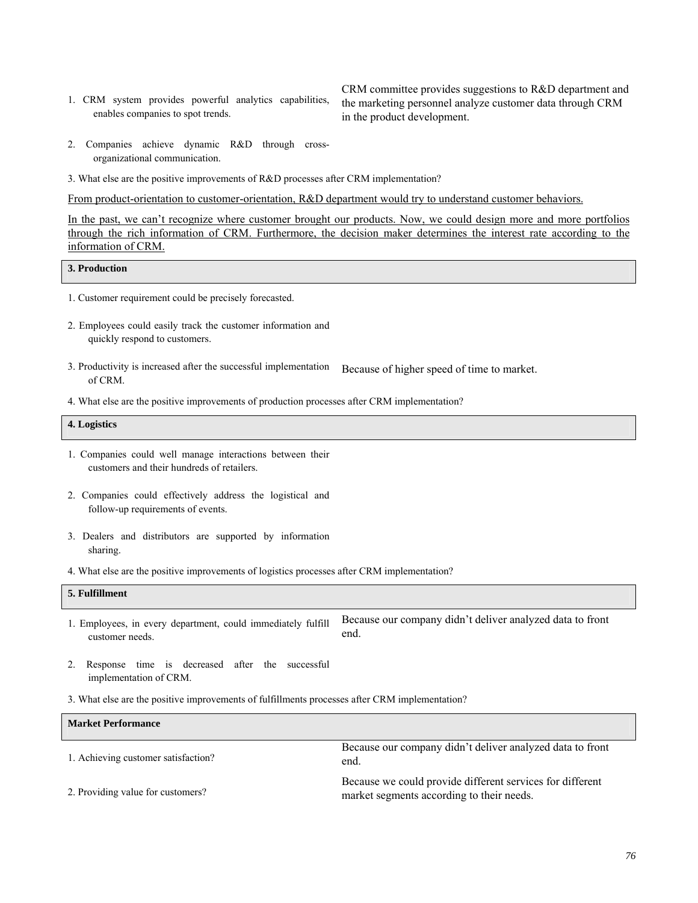1. CRM system provides powerful analytics capabilities, enables companies to spot trends.

CRM committee provides suggestions to R&D department and the marketing personnel analyze customer data through CRM in the product development.

- 2. Companies achieve dynamic R&D through crossorganizational communication.
- 3. What else are the positive improvements of R&D processes after CRM implementation?

From product-orientation to customer-orientation, R&D department would try to understand customer behaviors.

In the past, we can't recognize where customer brought our products. Now, we could design more and more portfolios through the rich information of CRM. Furthermore, the decision maker determines the interest rate according to the information of CRM.

#### **3. Production**

- 1. Customer requirement could be precisely forecasted.
- 2. Employees could easily track the customer information and quickly respond to customers.
- 3. Productivity is increased after the successful implementation of CRM. Because of higher speed of time to market.
- 4. What else are the positive improvements of production processes after CRM implementation?

| 4. Logistics |  |
|--------------|--|
|              |  |

- 1. Companies could well manage interactions between their customers and their hundreds of retailers.
- 2. Companies could effectively address the logistical and follow-up requirements of events.
- 3. Dealers and distributors are supported by information sharing.
- 4. What else are the positive improvements of logistics processes after CRM implementation?

# **5. Fulfillment**

- 1. Employees, in every department, could immediately fulfill customer needs. Because our company didn't deliver analyzed data to front end.
- 2. Response time is decreased after the successful implementation of CRM.
- 3. What else are the positive improvements of fulfillments processes after CRM implementation?

### **Market Performance**

| 1. Achieving customer satisfaction? | Because our company didn't deliver analyzed data to front<br>end.                                      |
|-------------------------------------|--------------------------------------------------------------------------------------------------------|
| 2. Providing value for customers?   | Because we could provide different services for different<br>market segments according to their needs. |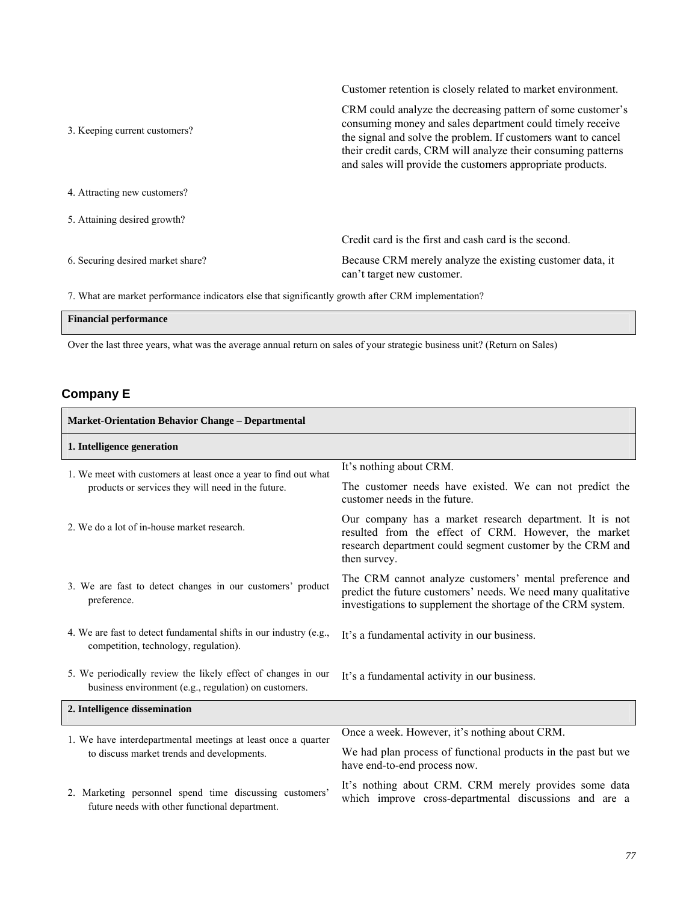3. Keeping current customers? CRM could analyze the decreasing pattern of some customer's consuming money and sales department could timely receive the signal and solve the problem. If customers want to cancel their credit cards, CRM will analyze their consuming patterns and sales will provide the customers appropriate products. 4. Attracting new customers? 5. Attaining desired growth? 6. Securing desired market share? Credit card is the first and cash card is the second. Because CRM merely analyze the existing customer data, it can't target new customer.

Customer retention is closely related to market environment.

7. What are market performance indicators else that significantly growth after CRM implementation?

| <b>Financial performance</b> |  |
|------------------------------|--|
|                              |  |

Over the last three years, what was the average annual return on sales of your strategic business unit? (Return on Sales)

## **Company E**

 $\Gamma$ 

| <b>Market-Orientation Behavior Change - Departmental</b>                                                               |                                                                                                                                                                                              |
|------------------------------------------------------------------------------------------------------------------------|----------------------------------------------------------------------------------------------------------------------------------------------------------------------------------------------|
| 1. Intelligence generation                                                                                             |                                                                                                                                                                                              |
| 1. We meet with customers at least once a year to find out what<br>products or services they will need in the future.  | It's nothing about CRM.                                                                                                                                                                      |
|                                                                                                                        | The customer needs have existed. We can not predict the<br>customer needs in the future.                                                                                                     |
| 2. We do a lot of in-house market research.                                                                            | Our company has a market research department. It is not<br>resulted from the effect of CRM. However, the market<br>research department could segment customer by the CRM and<br>then survey. |
| 3. We are fast to detect changes in our customers' product<br>preference.                                              | The CRM cannot analyze customers' mental preference and<br>predict the future customers' needs. We need many qualitative<br>investigations to supplement the shortage of the CRM system.     |
| 4. We are fast to detect fundamental shifts in our industry (e.g.,<br>competition, technology, regulation).            | It's a fundamental activity in our business.                                                                                                                                                 |
| 5. We periodically review the likely effect of changes in our<br>business environment (e.g., regulation) on customers. | It's a fundamental activity in our business.                                                                                                                                                 |
| 2. Intelligence dissemination                                                                                          |                                                                                                                                                                                              |
| 1. We have interdepartmental meetings at least once a quarter<br>to discuss market trends and developments.            | Once a week. However, it's nothing about CRM.                                                                                                                                                |
|                                                                                                                        | We had plan process of functional products in the past but we<br>have end-to-end process now.                                                                                                |
| 2. Marketing personnel spend time discussing customers'<br>future needs with other functional department.              | It's nothing about CRM. CRM merely provides some data<br>which improve cross-departmental discussions and are a                                                                              |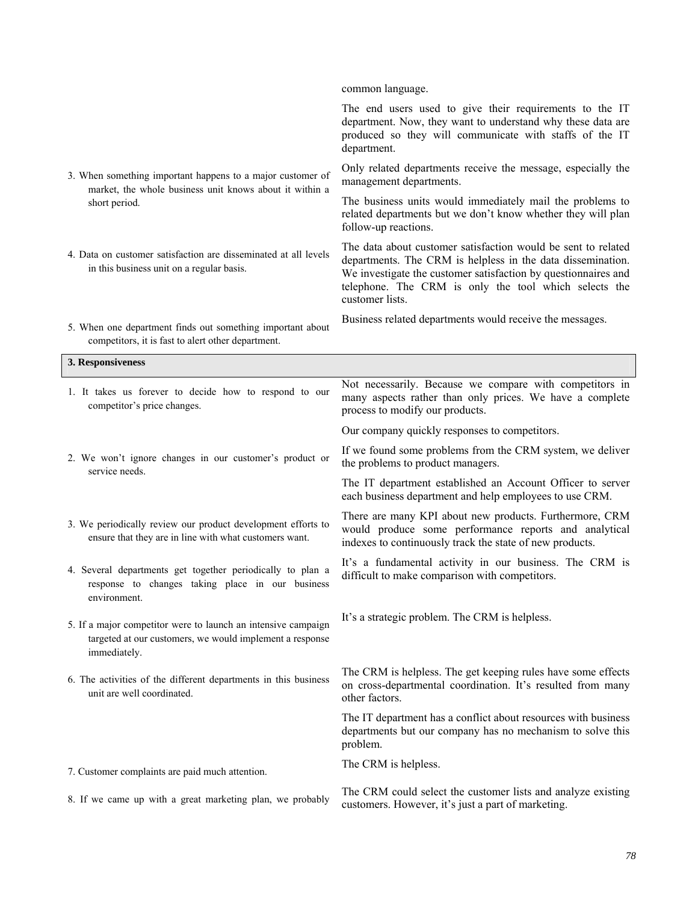|                                                                                                                                           | common language.                                                                                                                                                                                                                                                           |
|-------------------------------------------------------------------------------------------------------------------------------------------|----------------------------------------------------------------------------------------------------------------------------------------------------------------------------------------------------------------------------------------------------------------------------|
|                                                                                                                                           | The end users used to give their requirements to the IT<br>department. Now, they want to understand why these data are<br>produced so they will communicate with staffs of the IT<br>department.                                                                           |
| 3. When something important happens to a major customer of<br>market, the whole business unit knows about it within a                     | Only related departments receive the message, especially the<br>management departments.                                                                                                                                                                                    |
| short period.                                                                                                                             | The business units would immediately mail the problems to<br>related departments but we don't know whether they will plan<br>follow-up reactions.                                                                                                                          |
| 4. Data on customer satisfaction are disseminated at all levels<br>in this business unit on a regular basis.                              | The data about customer satisfaction would be sent to related<br>departments. The CRM is helpless in the data dissemination.<br>We investigate the customer satisfaction by questionnaires and<br>telephone. The CRM is only the tool which selects the<br>customer lists. |
| 5. When one department finds out something important about<br>competitors, it is fast to alert other department.                          | Business related departments would receive the messages.                                                                                                                                                                                                                   |
| 3. Responsiveness                                                                                                                         |                                                                                                                                                                                                                                                                            |
| 1. It takes us forever to decide how to respond to our<br>competitor's price changes.                                                     | Not necessarily. Because we compare with competitors in<br>many aspects rather than only prices. We have a complete<br>process to modify our products.                                                                                                                     |
|                                                                                                                                           | Our company quickly responses to competitors.                                                                                                                                                                                                                              |
| 2. We won't ignore changes in our customer's product or<br>service needs.                                                                 | If we found some problems from the CRM system, we deliver<br>the problems to product managers.                                                                                                                                                                             |
|                                                                                                                                           | The IT department established an Account Officer to server<br>each business department and help employees to use CRM.                                                                                                                                                      |
| 3. We periodically review our product development efforts to<br>ensure that they are in line with what customers want.                    | There are many KPI about new products. Furthermore, CRM<br>would produce some performance reports and analytical<br>indexes to continuously track the state of new products.                                                                                               |
| 4. Several departments get together periodically to plan a<br>response to changes taking place in our business<br>environment.            | It's a fundamental activity in our business. The CRM is<br>difficult to make comparison with competitors.                                                                                                                                                                  |
| 5. If a major competitor were to launch an intensive campaign<br>targeted at our customers, we would implement a response<br>immediately. | It's a strategic problem. The CRM is helpless.                                                                                                                                                                                                                             |
| 6. The activities of the different departments in this business<br>unit are well coordinated.                                             | The CRM is helpless. The get keeping rules have some effects<br>on cross-departmental coordination. It's resulted from many<br>other factors.                                                                                                                              |
|                                                                                                                                           | The IT department has a conflict about resources with business<br>departments but our company has no mechanism to solve this<br>problem.                                                                                                                                   |
| 7. Customer complaints are paid much attention.                                                                                           | The CRM is helpless.                                                                                                                                                                                                                                                       |
| 8. If we came up with a great marketing plan, we probably                                                                                 | The CRM could select the customer lists and analyze existing<br>customers. However, it's just a part of marketing.                                                                                                                                                         |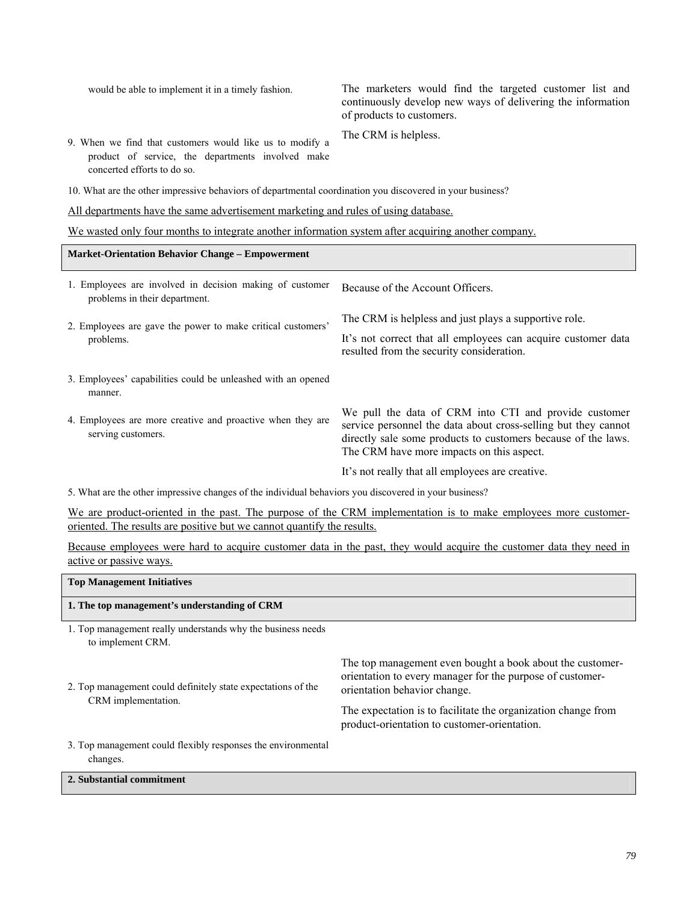| would be able to implement it in a timely fashion.                                                                                           | The marketers would find the targeted customer list and<br>continuously develop new ways of delivering the information<br>of products to customers.                                                                                   |
|----------------------------------------------------------------------------------------------------------------------------------------------|---------------------------------------------------------------------------------------------------------------------------------------------------------------------------------------------------------------------------------------|
| 9. When we find that customers would like us to modify a<br>product of service, the departments involved make<br>concerted efforts to do so. | The CRM is helpless.                                                                                                                                                                                                                  |
| 10. What are the other impressive behaviors of departmental coordination you discovered in your business?                                    |                                                                                                                                                                                                                                       |
| All departments have the same advertisement marketing and rules of using database.                                                           |                                                                                                                                                                                                                                       |
| We wasted only four months to integrate another information system after acquiring another company.                                          |                                                                                                                                                                                                                                       |
| <b>Market-Orientation Behavior Change – Empowerment</b>                                                                                      |                                                                                                                                                                                                                                       |
| 1. Employees are involved in decision making of customer<br>problems in their department.                                                    | Because of the Account Officers.                                                                                                                                                                                                      |
| 2. Employees are gave the power to make critical customers'<br>problems.                                                                     | The CRM is helpless and just plays a supportive role.                                                                                                                                                                                 |
|                                                                                                                                              | It's not correct that all employees can acquire customer data<br>resulted from the security consideration.                                                                                                                            |
| 3. Employees' capabilities could be unleashed with an opened<br>manner.                                                                      |                                                                                                                                                                                                                                       |
| 4. Employees are more creative and proactive when they are<br>serving customers.                                                             | We pull the data of CRM into CTI and provide customer<br>service personnel the data about cross-selling but they cannot<br>directly sale some products to customers because of the laws.<br>The CRM have more impacts on this aspect. |
|                                                                                                                                              | It's not really that all employees are creative.                                                                                                                                                                                      |
| $\epsilon$ with a construction through a change of $\epsilon$ at a field of the time of the constitution of a change of                      |                                                                                                                                                                                                                                       |

5. What are the other impressive changes of the individual behaviors you discovered in your business?

We are product-oriented in the past. The purpose of the CRM implementation is to make employees more customeroriented. The results are positive but we cannot quantify the results.

Because employees were hard to acquire customer data in the past, they would acquire the customer data they need in active or passive ways.

| <b>Top Management Initiatives</b>                                                   |                                                                                                                                                        |
|-------------------------------------------------------------------------------------|--------------------------------------------------------------------------------------------------------------------------------------------------------|
| 1. The top management's understanding of CRM                                        |                                                                                                                                                        |
| 1. Top management really understands why the business needs<br>to implement CRM.    |                                                                                                                                                        |
| 2. Top management could definitely state expectations of the<br>CRM implementation. | The top management even bought a book about the customer-<br>orientation to every manager for the purpose of customer-<br>orientation behavior change. |
|                                                                                     | The expectation is to facilitate the organization change from<br>product-orientation to customer-orientation.                                          |
| 3. Top management could flexibly responses the environmental<br>changes.            |                                                                                                                                                        |
| 2. Substantial commitment                                                           |                                                                                                                                                        |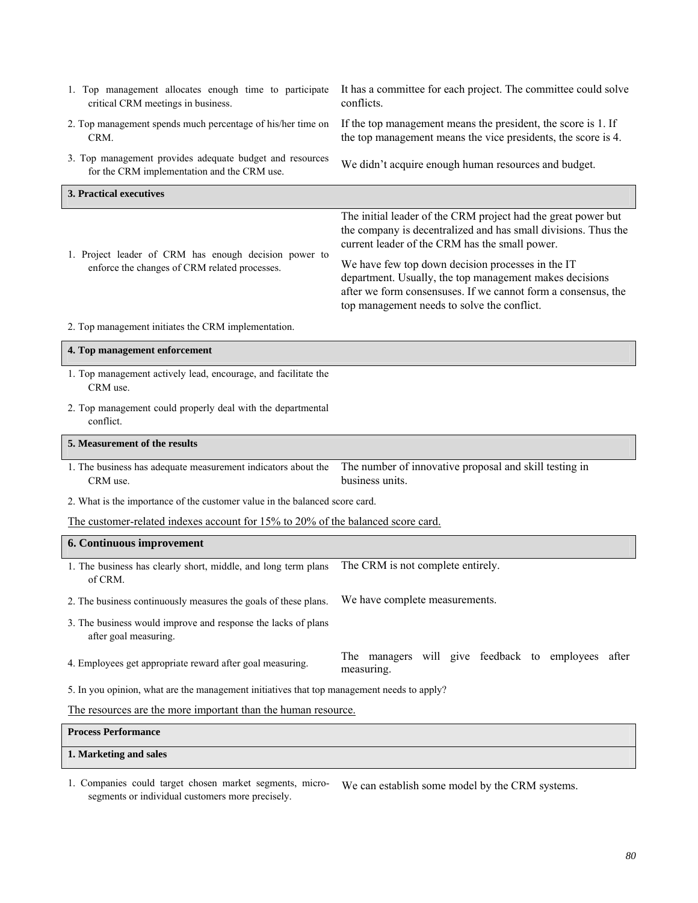| 1. Top management allocates enough time to participate<br>critical CRM meetings in business.            | It has a committee for each project. The committee could solve<br>conflicts.                                                                                                                                                 |
|---------------------------------------------------------------------------------------------------------|------------------------------------------------------------------------------------------------------------------------------------------------------------------------------------------------------------------------------|
| 2. Top management spends much percentage of his/her time on<br>CRM.                                     | If the top management means the president, the score is 1. If<br>the top management means the vice presidents, the score is 4.                                                                                               |
| 3. Top management provides adequate budget and resources<br>for the CRM implementation and the CRM use. | We didn't acquire enough human resources and budget.                                                                                                                                                                         |
| 3. Practical executives                                                                                 |                                                                                                                                                                                                                              |
| 1. Project leader of CRM has enough decision power to<br>enforce the changes of CRM related processes.  | The initial leader of the CRM project had the great power but<br>the company is decentralized and has small divisions. Thus the<br>current leader of the CRM has the small power.                                            |
|                                                                                                         | We have few top down decision processes in the IT<br>department. Usually, the top management makes decisions<br>after we form consensuses. If we cannot form a consensus, the<br>top management needs to solve the conflict. |
| 2. Top management initiates the CRM implementation.                                                     |                                                                                                                                                                                                                              |
| 4. Top management enforcement                                                                           |                                                                                                                                                                                                                              |
| 1. Top management actively lead, encourage, and facilitate the<br>CRM use.                              |                                                                                                                                                                                                                              |
| 2. Top management could properly deal with the departmental<br>conflict.                                |                                                                                                                                                                                                                              |
| 5. Measurement of the results                                                                           |                                                                                                                                                                                                                              |
| 1. The business has adequate measurement indicators about the<br>CRM use.                               | The number of innovative proposal and skill testing in<br>business units.                                                                                                                                                    |
| 2. What is the importance of the customer value in the balanced score card.                             |                                                                                                                                                                                                                              |
| The customer-related indexes account for 15% to 20% of the balanced score card.                         |                                                                                                                                                                                                                              |
| 6. Continuous improvement                                                                               |                                                                                                                                                                                                                              |
| 1. The business has clearly short, middle, and long term plans<br>of CRM.                               | The CRM is not complete entirely.                                                                                                                                                                                            |
| 2. The business continuously measures the goals of these plans.                                         | We have complete measurements.                                                                                                                                                                                               |
| 3. The business would improve and response the lacks of plans<br>after goal measuring.                  |                                                                                                                                                                                                                              |
| 4. Employees get appropriate reward after goal measuring.                                               | The managers will give feedback to employees after<br>measuring.                                                                                                                                                             |
| 5. In you opinion, what are the management initiatives that top management needs to apply?              |                                                                                                                                                                                                                              |
| The resources are the more important than the human resource.                                           |                                                                                                                                                                                                                              |
| <b>Process Performance</b>                                                                              |                                                                                                                                                                                                                              |
| 1. Marketing and sales                                                                                  |                                                                                                                                                                                                                              |

1. Companies could target chosen market segments, microsegments or individual customers more precisely. We can establish some model by the CRM systems.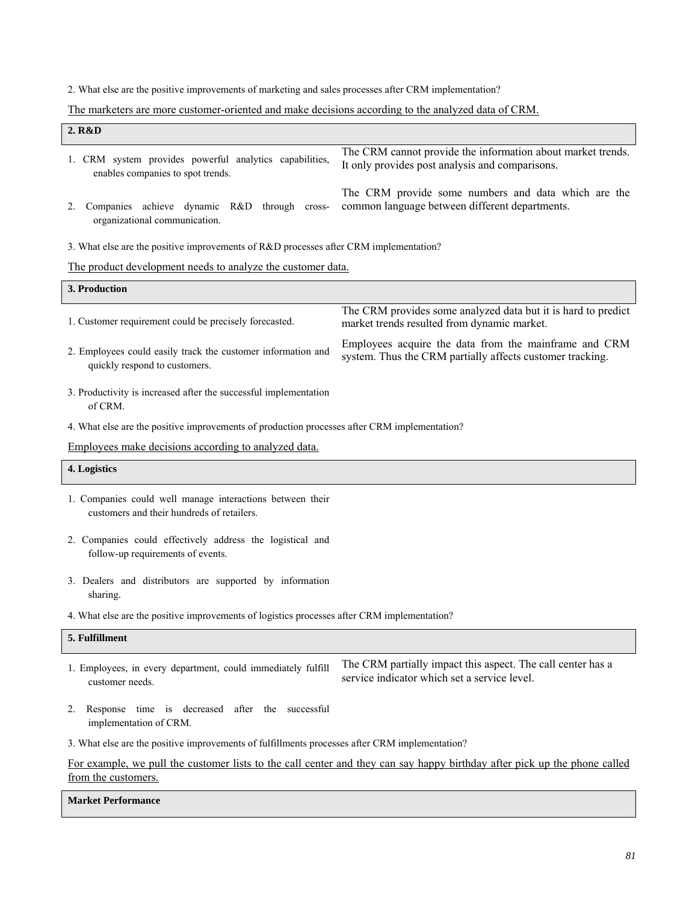2. What else are the positive improvements of marketing and sales processes after CRM implementation?

## The marketers are more customer-oriented and make decisions according to the analyzed data of CRM.

| 2. R&D                                                                                                  |                                                                                                                           |
|---------------------------------------------------------------------------------------------------------|---------------------------------------------------------------------------------------------------------------------------|
| 1. CRM system provides powerful analytics capabilities,<br>enables companies to spot trends.            | The CRM cannot provide the information about market trends.<br>It only provides post analysis and comparisons.            |
| Companies achieve dynamic R&D through cross-<br>2.<br>organizational communication.                     | The CRM provide some numbers and data which are the<br>common language between different departments.                     |
| 3. What else are the positive improvements of R&D processes after CRM implementation?                   |                                                                                                                           |
| The product development needs to analyze the customer data.                                             |                                                                                                                           |
| 3. Production                                                                                           |                                                                                                                           |
| 1. Customer requirement could be precisely forecasted.                                                  | The CRM provides some analyzed data but it is hard to predict<br>market trends resulted from dynamic market.              |
| 2. Employees could easily track the customer information and<br>quickly respond to customers.           | Employees acquire the data from the mainframe and CRM<br>system. Thus the CRM partially affects customer tracking.        |
| 3. Productivity is increased after the successful implementation<br>of CRM.                             |                                                                                                                           |
| 4. What else are the positive improvements of production processes after CRM implementation?            |                                                                                                                           |
| Employees make decisions according to analyzed data.                                                    |                                                                                                                           |
| 4. Logistics                                                                                            |                                                                                                                           |
| 1. Companies could well manage interactions between their<br>customers and their hundreds of retailers. |                                                                                                                           |
| 2. Companies could effectively address the logistical and<br>follow-up requirements of events.          |                                                                                                                           |
| 3. Dealers and distributors are supported by information<br>sharing.                                    |                                                                                                                           |
| 4. What else are the positive improvements of logistics processes after CRM implementation?             |                                                                                                                           |
| 5. Fulfillment                                                                                          |                                                                                                                           |
| 1. Employees, in every department, could immediately fulfill<br>customer needs.                         | The CRM partially impact this aspect. The call center has a<br>service indicator which set a service level.               |
| 2.<br>Response time is decreased after the successful<br>implementation of CRM.                         |                                                                                                                           |
| 3. What else are the positive improvements of fulfillments processes after CRM implementation?          |                                                                                                                           |
| from the customers.                                                                                     | For example, we pull the customer lists to the call center and they can say happy birthday after pick up the phone called |

## **Market Performance**